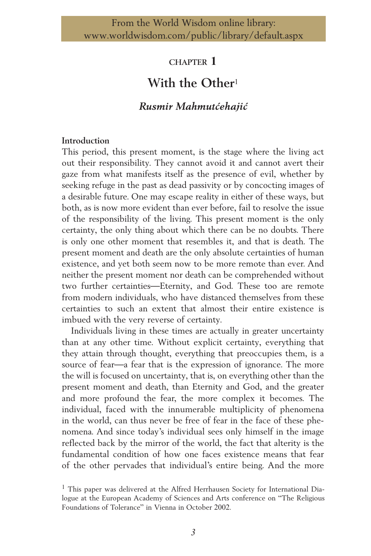# **CHAPTER 1**

# **With the Other**<sup>1</sup>

# *Rusmir Mahmutćehajić*

#### **Introduction**

This period, this present moment, is the stage where the living act out their responsibility. They cannot avoid it and cannot avert their gaze from what manifests itself as the presence of evil, whether by seeking refuge in the past as dead passivity or by concocting images of a desirable future. One may escape reality in either of these ways, but both, as is now more evident than ever before, fail to resolve the issue of the responsibility of the living. This present moment is the only certainty, the only thing about which there can be no doubts. There is only one other moment that resembles it, and that is death. The present moment and death are the only absolute certainties of human existence, and yet both seem now to be more remote than ever. And neither the present moment nor death can be comprehended without two further certainties—Eternity, and God. These too are remote from modern individuals, who have distanced themselves from these certainties to such an extent that almost their entire existence is imbued with the very reverse of certainty.

Individuals living in these times are actually in greater uncertainty than at any other time. Without explicit certainty, everything that they attain through thought, everything that preoccupies them, is a source of fear—a fear that is the expression of ignorance. The more the will is focused on uncertainty, that is, on everything other than the present moment and death, than Eternity and God, and the greater and more profound the fear, the more complex it becomes. The individual, faced with the innumerable multiplicity of phenomena in the world, can thus never be free of fear in the face of these phenomena. And since today's individual sees only himself in the image reflected back by the mirror of the world, the fact that alterity is the fundamental condition of how one faces existence means that fear of the other pervades that individual's entire being. And the more

<sup>&</sup>lt;sup>1</sup> This paper was delivered at the Alfred Herrhausen Society for International Dialogue at the European Academy of Sciences and Arts conference on "The Religious Foundations of Tolerance" in Vienna in October 2002.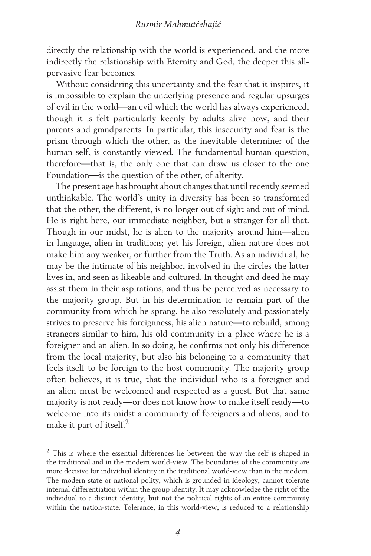directly the relationship with the world is experienced, and the more indirectly the relationship with Eternity and God, the deeper this allpervasive fear becomes.

Without considering this uncertainty and the fear that it inspires, it is impossible to explain the underlying presence and regular upsurges of evil in the world—an evil which the world has always experienced, though it is felt particularly keenly by adults alive now, and their parents and grandparents. In particular, this insecurity and fear is the prism through which the other, as the inevitable determiner of the human self, is constantly viewed. The fundamental human question, therefore—that is, the only one that can draw us closer to the one Foundation—is the question of the other, of alterity.

The present age has brought about changes that until recently seemed unthinkable. The world's unity in diversity has been so transformed that the other, the different, is no longer out of sight and out of mind. He is right here, our immediate neighbor, but a stranger for all that. Though in our midst, he is alien to the majority around him—alien in language, alien in traditions; yet his foreign, alien nature does not make him any weaker, or further from the Truth. As an individual, he may be the intimate of his neighbor, involved in the circles the latter lives in, and seen as likeable and cultured. In thought and deed he may assist them in their aspirations, and thus be perceived as necessary to the majority group. But in his determination to remain part of the community from which he sprang, he also resolutely and passionately strives to preserve his foreignness, his alien nature—to rebuild, among strangers similar to him, his old community in a place where he is a foreigner and an alien. In so doing, he confirms not only his difference from the local majority, but also his belonging to a community that feels itself to be foreign to the host community. The majority group often believes, it is true, that the individual who is a foreigner and an alien must be welcomed and respected as a guest. But that same majority is not ready—or does not know how to make itself ready—to welcome into its midst a community of foreigners and aliens, and to make it part of itself.<sup>2</sup>

<sup>2</sup> This is where the essential differences lie between the way the self is shaped in the traditional and in the modern world-view. The boundaries of the community are more decisive for individual identity in the traditional world-view than in the modern. The modern state or national polity, which is grounded in ideology, cannot tolerate internal differentiation within the group identity. It may acknowledge the right of the individual to a distinct identity, but not the political rights of an entire community within the nation-state. Tolerance, in this world-view, is reduced to a relationship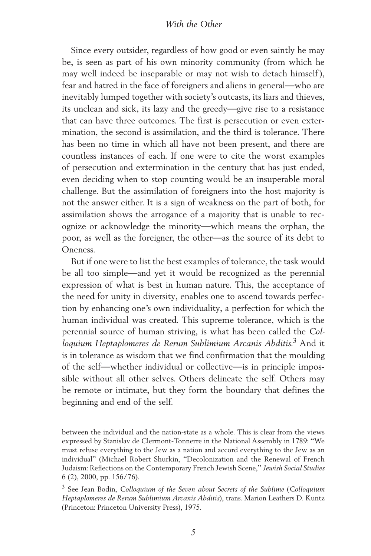Since every outsider, regardless of how good or even saintly he may be, is seen as part of his own minority community (from which he may well indeed be inseparable or may not wish to detach himself), fear and hatred in the face of foreigners and aliens in general—who are inevitably lumped together with society's outcasts, its liars and thieves, its unclean and sick, its lazy and the greedy—give rise to a resistance that can have three outcomes. The first is persecution or even extermination, the second is assimilation, and the third is tolerance. There has been no time in which all have not been present, and there are countless instances of each. If one were to cite the worst examples of persecution and extermination in the century that has just ended, even deciding when to stop counting would be an insuperable moral challenge. But the assimilation of foreigners into the host majority is not the answer either. It is a sign of weakness on the part of both, for assimilation shows the arrogance of a majority that is unable to recognize or acknowledge the minority—which means the orphan, the poor, as well as the foreigner, the other—as the source of its debt to Oneness.

But if one were to list the best examples of tolerance, the task would be all too simple—and yet it would be recognized as the perennial expression of what is best in human nature. This, the acceptance of the need for unity in diversity, enables one to ascend towards perfection by enhancing one's own individuality, a perfection for which the human individual was created. This supreme tolerance, which is the perennial source of human striving, is what has been called the *Colloquium Heptaplomeres de Rerum Sublimium Arcanis Abditis*. 3 And it is in tolerance as wisdom that we find confirmation that the moulding of the self—whether individual or collective—is in principle impossible without all other selves. Others delineate the self. Others may be remote or intimate, but they form the boundary that defines the beginning and end of the self.

between the individual and the nation-state as a whole. This is clear from the views expressed by Stanislav de Clermont-Tonnerre in the National Assembly in 1789: "We must refuse everything to the Jew as a nation and accord everything to the Jew as an individual" (Michael Robert Shurkin, "Decolonization and the Renewal of French Judaism: Reflections on the Contemporary French Jewish Scene," *Jewish Social Studies*  6 (2), 2000, pp. 156/76).

3 See Jean Bodin, *Colloquium of the Seven about Secrets of the Sublime* (*Colloquium Heptaplomeres de Rerum Sublimium Arcanis Abditis*), trans. Marion Leathers D. Kuntz (Princeton: Princeton University Press), 1975.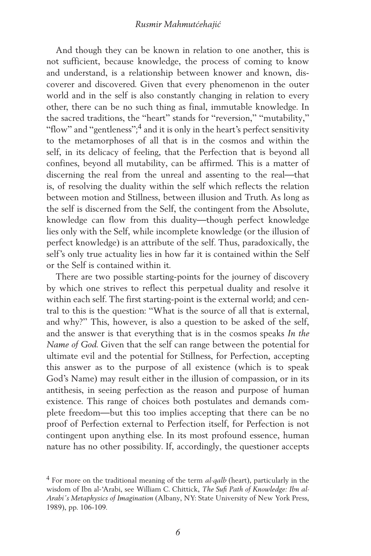And though they can be known in relation to one another, this is not sufficient, because knowledge, the process of coming to know and understand, is a relationship between knower and known, discoverer and discovered. Given that every phenomenon in the outer world and in the self is also constantly changing in relation to every other, there can be no such thing as final, immutable knowledge. In the sacred traditions, the "heart" stands for "reversion," "mutability," "flow" and "gentleness";<sup>4</sup> and it is only in the heart's perfect sensitivity to the metamorphoses of all that is in the cosmos and within the self, in its delicacy of feeling, that the Perfection that is beyond all confines, beyond all mutability, can be affirmed. This is a matter of discerning the real from the unreal and assenting to the real—that is, of resolving the duality within the self which reflects the relation between motion and Stillness, between illusion and Truth. As long as the self is discerned from the Self, the contingent from the Absolute, knowledge can flow from this duality—though perfect knowledge lies only with the Self, while incomplete knowledge (or the illusion of perfect knowledge) is an attribute of the self. Thus, paradoxically, the self's only true actuality lies in how far it is contained within the Self or the Self is contained within it.

There are two possible starting-points for the journey of discovery by which one strives to reflect this perpetual duality and resolve it within each self. The first starting-point is the external world; and central to this is the question: "What is the source of all that is external, and why?" This, however, is also a question to be asked of the self, and the answer is that everything that is in the cosmos speaks *In the Name of God*. Given that the self can range between the potential for ultimate evil and the potential for Stillness, for Perfection, accepting this answer as to the purpose of all existence (which is to speak God's Name) may result either in the illusion of compassion, or in its antithesis, in seeing perfection as the reason and purpose of human existence. This range of choices both postulates and demands complete freedom—but this too implies accepting that there can be no proof of Perfection external to Perfection itself, for Perfection is not contingent upon anything else. In its most profound essence, human nature has no other possibility. If, accordingly, the questioner accepts

<sup>4</sup> For more on the traditional meaning of the term *al-qalb* (heart), particularly in the wisdom of Ibn al-'Arabi, see William C. Chittick, *The Sufi Path of Knowledge: Ibn al-Arabi's Metaphysics of Imagination* (Albany, NY: State University of New York Press, 1989), pp. 106-109.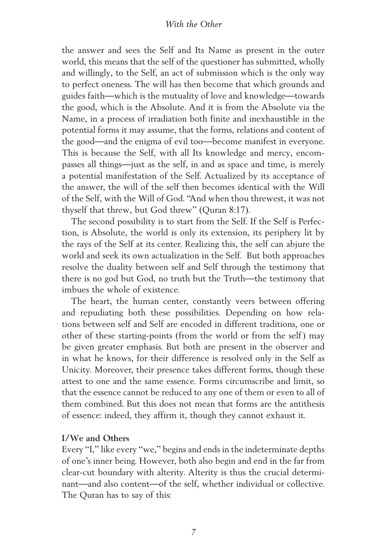the answer and sees the Self and Its Name as present in the outer world, this means that the self of the questioner has submitted, wholly and willingly, to the Self, an act of submission which is the only way to perfect oneness. The will has then become that which grounds and guides faith—which is the mutuality of love and knowledge—towards the good, which is the Absolute. And it is from the Absolute via the Name, in a process of irradiation both finite and inexhaustible in the potential forms it may assume, that the forms, relations and content of the good—and the enigma of evil too—become manifest in everyone. This is because the Self, with all Its knowledge and mercy, encompasses all things—just as the self, in and as space and time, is merely a potential manifestation of the Self. Actualized by its acceptance of the answer, the will of the self then becomes identical with the Will of the Self, with the Will of God. "And when thou threwest, it was not thyself that threw, but God threw" (Quran 8:17).

The second possibility is to start from the Self. If the Self is Perfection, is Absolute, the world is only its extension, its periphery lit by the rays of the Self at its center. Realizing this, the self can abjure the world and seek its own actualization in the Self. But both approaches resolve the duality between self and Self through the testimony that there is no god but God, no truth but the Truth—the testimony that imbues the whole of existence.

The heart, the human center, constantly veers between offering and repudiating both these possibilities. Depending on how relations between self and Self are encoded in different traditions, one or other of these starting-points (from the world or from the self) may be given greater emphasis. But both are present in the observer and in what he knows, for their difference is resolved only in the Self as Unicity. Moreover, their presence takes different forms, though these attest to one and the same essence. Forms circumscribe and limit, so that the essence cannot be reduced to any one of them or even to all of them combined. But this does not mean that forms are the antithesis of essence: indeed, they affirm it, though they cannot exhaust it.

#### **I/We and Others**

Every "I," like every "we," begins and ends in the indeterminate depths of one's inner being. However, both also begin and end in the far from clear-cut boundary with alterity. Alterity is thus the crucial determinant—and also content—of the self, whether individual or collective. The Quran has to say of this: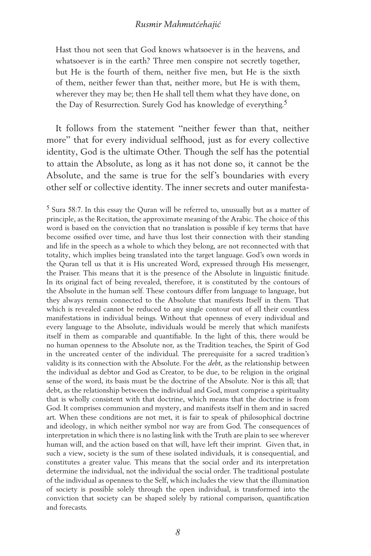#### *Rusmir Mahmutćehajić*

Hast thou not seen that God knows whatsoever is in the heavens, and whatsoever is in the earth? Three men conspire not secretly together, but He is the fourth of them, neither five men, but He is the sixth of them, neither fewer than that, neither more, but He is with them, wherever they may be; then He shall tell them what they have done, on the Day of Resurrection. Surely God has knowledge of everything.<sup>5</sup>

It follows from the statement "neither fewer than that, neither more" that for every individual selfhood, just as for every collective identity, God is the ultimate Other. Though the self has the potential to attain the Absolute, as long as it has not done so, it cannot be the Absolute, and the same is true for the self's boundaries with every other self or collective identity. The inner secrets and outer manifesta-

5 Sura 58:7. In this essay the Quran will be referred to, unusually but as a matter of principle, as the Recitation, the approximate meaning of the Arabic. The choice of this word is based on the conviction that no translation is possible if key terms that have become ossified over time, and have thus lost their connection with their standing and life in the speech as a whole to which they belong, are not reconnected with that totality, which implies being translated into the target language. God's own words in the Quran tell us that it is His uncreated Word, expressed through His messenger, the Praiser. This means that it is the presence of the Absolute in linguistic finitude. In its original fact of being revealed, therefore, it is constituted by the contours of the Absolute in the human self. These contours differ from language to language, but they always remain connected to the Absolute that manifests Itself in them. That which is revealed cannot be reduced to any single contour out of all their countless manifestations in individual beings. Without that openness of every individual and every language to the Absolute, individuals would be merely that which manifests itself in them as comparable and quantifiable. In the light of this, there would be no human openness to the Absolute nor, as the Tradition teaches, the Spirit of God in the uncreated center of the individual. The prerequisite for a sacred tradition's validity is its connection with the Absolute. For the *debt*, as the relationship between the individual as debtor and God as Creator, to be due, to be religion in the original sense of the word, its basis must be the doctrine of the Absolute. Nor is this all; that debt, as the relationship between the individual and God, must comprise a spirituality that is wholly consistent with that doctrine, which means that the doctrine is from God. It comprises communion and mystery, and manifests itself in them and in sacred art. When these conditions are not met, it is fair to speak of philosophical doctrine and ideology, in which neither symbol nor way are from God. The consequences of interpretation in which there is no lasting link with the Truth are plain to see wherever human will, and the action based on that will, have left their imprint. Given that, in such a view, society is the sum of these isolated individuals, it is consequential, and constitutes a greater value. This means that the social order and its interpretation determine the individual, not the individual the social order. The traditional postulate of the individual as openness to the Self, which includes the view that the illumination of society is possible solely through the open individual, is transformed into the conviction that society can be shaped solely by rational comparison, quantification and forecasts.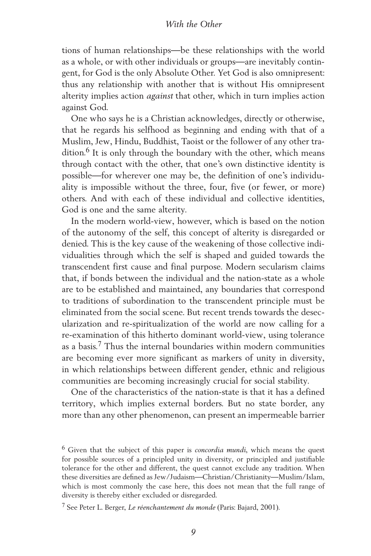tions of human relationships—be these relationships with the world as a whole, or with other individuals or groups—are inevitably contingent, for God is the only Absolute Other. Yet God is also omnipresent: thus any relationship with another that is without His omnipresent alterity implies action *against* that other, which in turn implies action against God.

One who says he is a Christian acknowledges, directly or otherwise, that he regards his selfhood as beginning and ending with that of a Muslim, Jew, Hindu, Buddhist, Taoist or the follower of any other tradition. $6$  It is only through the boundary with the other, which means through contact with the other, that one's own distinctive identity is possible—for wherever one may be, the definition of one's individuality is impossible without the three, four, five (or fewer, or more) others. And with each of these individual and collective identities, God is one and the same alterity.

In the modern world-view, however, which is based on the notion of the autonomy of the self, this concept of alterity is disregarded or denied. This is the key cause of the weakening of those collective individualities through which the self is shaped and guided towards the transcendent first cause and final purpose. Modern secularism claims that, if bonds between the individual and the nation-state as a whole are to be established and maintained, any boundaries that correspond to traditions of subordination to the transcendent principle must be eliminated from the social scene. But recent trends towards the desecularization and re-spiritualization of the world are now calling for a re-examination of this hitherto dominant world-view, using tolerance as a basis.<sup>7</sup> Thus the internal boundaries within modern communities are becoming ever more significant as markers of unity in diversity, in which relationships between different gender, ethnic and religious communities are becoming increasingly crucial for social stability.

One of the characteristics of the nation-state is that it has a defined territory, which implies external borders. But no state border, any more than any other phenomenon, can present an impermeable barrier

<sup>6</sup> Given that the subject of this paper is *concordia mundi*, which means the quest for possible sources of a principled unity in diversity, or principled and justifiable tolerance for the other and different, the quest cannot exclude any tradition. When these diversities are defined as Jew/Judaism—Christian/Christianity—Muslim/Islam, which is most commonly the case here, this does not mean that the full range of diversity is thereby either excluded or disregarded.

<sup>7</sup> See Peter L. Berger, *Le réenchantement du monde* (Paris: Bajard, 2001).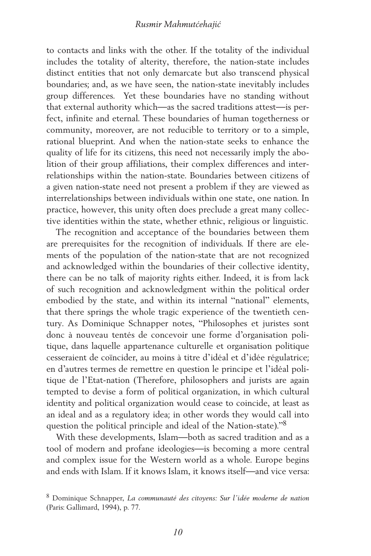to contacts and links with the other. If the totality of the individual includes the totality of alterity, therefore, the nation-state includes distinct entities that not only demarcate but also transcend physical boundaries; and, as we have seen, the nation-state inevitably includes group differences. Yet these boundaries have no standing without that external authority which—as the sacred traditions attest—is perfect, infinite and eternal. These boundaries of human togetherness or community, moreover, are not reducible to territory or to a simple, rational blueprint. And when the nation-state seeks to enhance the quality of life for its citizens, this need not necessarily imply the abolition of their group affiliations, their complex differences and interrelationships within the nation-state. Boundaries between citizens of a given nation-state need not present a problem if they are viewed as interrelationships between individuals within one state, one nation. In practice, however, this unity often does preclude a great many collective identities within the state, whether ethnic, religious or linguistic.

The recognition and acceptance of the boundaries between them are prerequisites for the recognition of individuals. If there are elements of the population of the nation-state that are not recognized and acknowledged within the boundaries of their collective identity, there can be no talk of majority rights either. Indeed, it is from lack of such recognition and acknowledgment within the political order embodied by the state, and within its internal "national" elements, that there springs the whole tragic experience of the twentieth century. As Dominique Schnapper notes, "Philosophes et juristes sont donc à nouveau tentés de concevoir une forme d'organisation politique, dans laquelle appartenance culturelle et organisation politique cesseraient de coïncider, au moins à titre d'idéal et d'idée régulatrice; en d'autres termes de remettre en question le principe et l'idéal politique de l'Etat-nation (Therefore, philosophers and jurists are again tempted to devise a form of political organization, in which cultural identity and political organization would cease to coincide, at least as an ideal and as a regulatory idea; in other words they would call into question the political principle and ideal of the Nation-state)."<sup>8</sup>

With these developments, Islam—both as sacred tradition and as a tool of modern and profane ideologies—is becoming a more central and complex issue for the Western world as a whole. Europe begins and ends with Islam. If it knows Islam, it knows itself—and vice versa:

<sup>8</sup> Dominique Schnapper, *La communauté des citoyens: Sur l'idée moderne de nation*  (Paris: Gallimard, 1994), p. 77.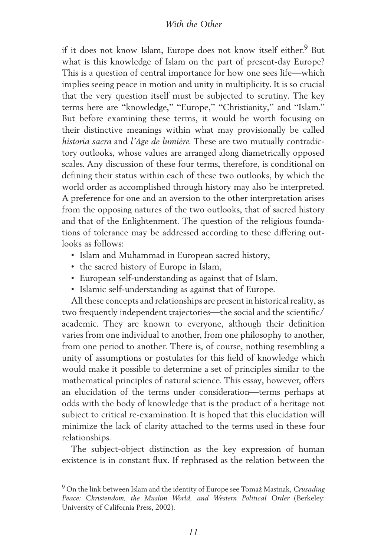if it does not know Islam, Europe does not know itself either.<sup>9</sup> But what is this knowledge of Islam on the part of present-day Europe? This is a question of central importance for how one sees life—which implies seeing peace in motion and unity in multiplicity. It is so crucial that the very question itself must be subjected to scrutiny. The key terms here are "knowledge," "Europe," "Christianity," and "Islam." But before examining these terms, it would be worth focusing on their distinctive meanings within what may provisionally be called *historia sacra* and *l'âge de lumière*. These are two mutually contradictory outlooks, whose values are arranged along diametrically opposed scales. Any discussion of these four terms, therefore, is conditional on defining their status within each of these two outlooks, by which the world order as accomplished through history may also be interpreted. A preference for one and an aversion to the other interpretation arises from the opposing natures of the two outlooks, that of sacred history and that of the Enlightenment. The question of the religious foundations of tolerance may be addressed according to these differing outlooks as follows:

- Islam and Muhammad in European sacred history,
- the sacred history of Europe in Islam,
- European self-understanding as against that of Islam,
- Islamic self-understanding as against that of Europe.

All these concepts and relationships are present in historical reality, as two frequently independent trajectories—the social and the scientific/ academic. They are known to everyone, although their definition varies from one individual to another, from one philosophy to another, from one period to another. There is, of course, nothing resembling a unity of assumptions or postulates for this field of knowledge which would make it possible to determine a set of principles similar to the mathematical principles of natural science. This essay, however, offers an elucidation of the terms under consideration—terms perhaps at odds with the body of knowledge that is the product of a heritage not subject to critical re-examination. It is hoped that this elucidation will minimize the lack of clarity attached to the terms used in these four relationships.

The subject-object distinction as the key expression of human existence is in constant flux. If rephrased as the relation between the

<sup>9</sup> On the link between Islam and the identity of Europe see Tomaž Mastnak, *Crusading Peace: Christendom, the Muslim World, and Western Political Order* (Berkeley: University of California Press, 2002).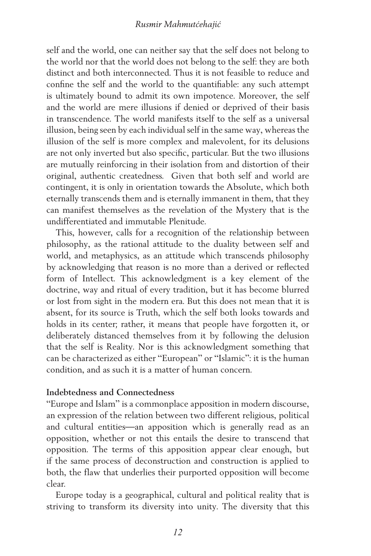self and the world, one can neither say that the self does not belong to the world nor that the world does not belong to the self: they are both distinct and both interconnected. Thus it is not feasible to reduce and confine the self and the world to the quantifiable: any such attempt is ultimately bound to admit its own impotence. Moreover, the self and the world are mere illusions if denied or deprived of their basis in transcendence. The world manifests itself to the self as a universal illusion, being seen by each individual self in the same way, whereas the illusion of the self is more complex and malevolent, for its delusions are not only inverted but also specific, particular. But the two illusions are mutually reinforcing in their isolation from and distortion of their original, authentic createdness. Given that both self and world are contingent, it is only in orientation towards the Absolute, which both eternally transcends them and is eternally immanent in them, that they can manifest themselves as the revelation of the Mystery that is the undifferentiated and immutable Plenitude.

This, however, calls for a recognition of the relationship between philosophy, as the rational attitude to the duality between self and world, and metaphysics, as an attitude which transcends philosophy by acknowledging that reason is no more than a derived or reflected form of Intellect. This acknowledgment is a key element of the doctrine, way and ritual of every tradition, but it has become blurred or lost from sight in the modern era. But this does not mean that it is absent, for its source is Truth, which the self both looks towards and holds in its center; rather, it means that people have forgotten it, or deliberately distanced themselves from it by following the delusion that the self is Reality. Nor is this acknowledgment something that can be characterized as either "European" or "Islamic": it is the human condition, and as such it is a matter of human concern.

### **Indebtedness and Connectedness**

"Europe and Islam" is a commonplace apposition in modern discourse, an expression of the relation between two different religious, political and cultural entities—an apposition which is generally read as an opposition, whether or not this entails the desire to transcend that opposition. The terms of this apposition appear clear enough, but if the same process of deconstruction and construction is applied to both, the flaw that underlies their purported opposition will become clear.

Europe today is a geographical, cultural and political reality that is striving to transform its diversity into unity. The diversity that this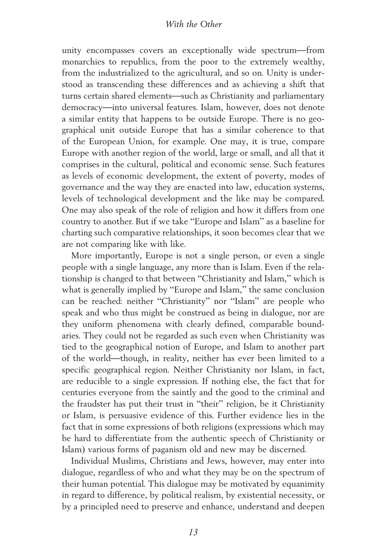unity encompasses covers an exceptionally wide spectrum—from monarchies to republics, from the poor to the extremely wealthy, from the industrialized to the agricultural, and so on. Unity is understood as transcending these differences and as achieving a shift that turns certain shared elements—such as Christianity and parliamentary democracy—into universal features. Islam, however, does not denote a similar entity that happens to be outside Europe. There is no geographical unit outside Europe that has a similar coherence to that of the European Union, for example. One may, it is true, compare Europe with another region of the world, large or small, and all that it comprises in the cultural, political and economic sense. Such features as levels of economic development, the extent of poverty, modes of governance and the way they are enacted into law, education systems, levels of technological development and the like may be compared. One may also speak of the role of religion and how it differs from one country to another. But if we take "Europe and Islam" as a baseline for charting such comparative relationships, it soon becomes clear that we are not comparing like with like.

More importantly, Europe is not a single person, or even a single people with a single language, any more than is Islam. Even if the relationship is changed to that between "Christianity and Islam," which is what is generally implied by "Europe and Islam," the same conclusion can be reached: neither "Christianity" nor "Islam" are people who speak and who thus might be construed as being in dialogue, nor are they uniform phenomena with clearly defined, comparable boundaries. They could not be regarded as such even when Christianity was tied to the geographical notion of Europe, and Islam to another part of the world—though, in reality, neither has ever been limited to a specific geographical region. Neither Christianity nor Islam, in fact, are reducible to a single expression. If nothing else, the fact that for centuries everyone from the saintly and the good to the criminal and the fraudster has put their trust in "their" religion, be it Christianity or Islam, is persuasive evidence of this. Further evidence lies in the fact that in some expressions of both religions (expressions which may be hard to differentiate from the authentic speech of Christianity or Islam) various forms of paganism old and new may be discerned.

Individual Muslims, Christians and Jews, however, may enter into dialogue, regardless of who and what they may be on the spectrum of their human potential. This dialogue may be motivated by equanimity in regard to difference, by political realism, by existential necessity, or by a principled need to preserve and enhance, understand and deepen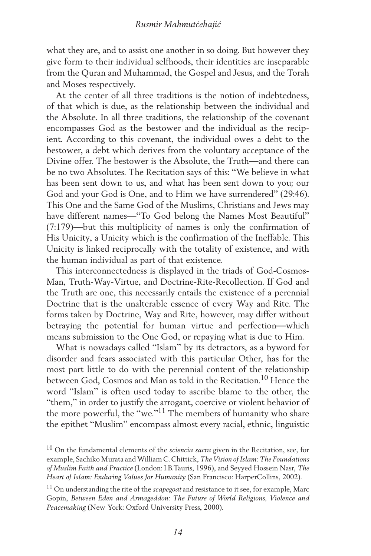what they are, and to assist one another in so doing. But however they give form to their individual selfhoods, their identities are inseparable from the Quran and Muhammad, the Gospel and Jesus, and the Torah and Moses respectively.

At the center of all three traditions is the notion of indebtedness, of that which is due, as the relationship between the individual and the Absolute. In all three traditions, the relationship of the covenant encompasses God as the bestower and the individual as the recipient. According to this covenant, the individual owes a debt to the bestower, a debt which derives from the voluntary acceptance of the Divine offer. The bestower is the Absolute, the Truth—and there can be no two Absolutes. The Recitation says of this: "We believe in what has been sent down to us, and what has been sent down to you; our God and your God is One, and to Him we have surrendered" (29:46). This One and the Same God of the Muslims, Christians and Jews may have different names—"To God belong the Names Most Beautiful" (7:179)—but this multiplicity of names is only the confirmation of His Unicity, a Unicity which is the confirmation of the Ineffable. This Unicity is linked reciprocally with the totality of existence, and with the human individual as part of that existence.

This interconnectedness is displayed in the triads of God-Cosmos-Man, Truth-Way-Virtue, and Doctrine-Rite-Recollection. If God and the Truth are one, this necessarily entails the existence of a perennial Doctrine that is the unalterable essence of every Way and Rite. The forms taken by Doctrine, Way and Rite, however, may differ without betraying the potential for human virtue and perfection—which means submission to the One God, or repaying what is due to Him.

What is nowadays called "Islam" by its detractors, as a byword for disorder and fears associated with this particular Other, has for the most part little to do with the perennial content of the relationship between God, Cosmos and Man as told in the Recitation.10 Hence the word "Islam" is often used today to ascribe blame to the other, the "them," in order to justify the arrogant, coercive or violent behavior of the more powerful, the "we."<sup>11</sup> The members of humanity who share the epithet "Muslim" encompass almost every racial, ethnic, linguistic

<sup>10</sup> On the fundamental elements of the *sciencia sacra* given in the Recitation, see, for example, Sachiko Murata and William C. Chittick, *The Vision of Islam: The Foundations of Muslim Faith and Practice* (London: I.B.Tauris, 1996), and Seyyed Hossein Nasr, *The Heart of Islam: Enduring Values for Humanity* (San Francisco: HarperCollins, 2002).

<sup>11</sup> On understanding the rite of the *scapegoat* and resistance to it see, for example, Marc Gopin, *Between Eden and Armageddon: The Future of World Religions, Violence and Peacemaking* (New York: Oxford University Press, 2000).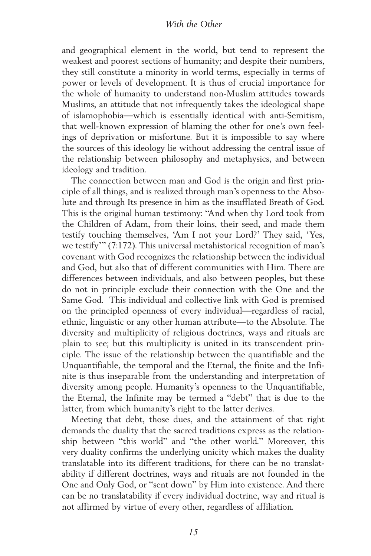and geographical element in the world, but tend to represent the weakest and poorest sections of humanity; and despite their numbers, they still constitute a minority in world terms, especially in terms of power or levels of development. It is thus of crucial importance for the whole of humanity to understand non-Muslim attitudes towards Muslims, an attitude that not infrequently takes the ideological shape of islamophobia—which is essentially identical with anti-Semitism, that well-known expression of blaming the other for one's own feelings of deprivation or misfortune. But it is impossible to say where the sources of this ideology lie without addressing the central issue of the relationship between philosophy and metaphysics, and between ideology and tradition.

The connection between man and God is the origin and first principle of all things, and is realized through man's openness to the Absolute and through Its presence in him as the insufflated Breath of God. This is the original human testimony: "And when thy Lord took from the Children of Adam, from their loins, their seed, and made them testify touching themselves, 'Am I not your Lord?' They said, 'Yes, we testify'" (7:172). This universal metahistorical recognition of man's covenant with God recognizes the relationship between the individual and God, but also that of different communities with Him. There are differences between individuals, and also between peoples, but these do not in principle exclude their connection with the One and the Same God. This individual and collective link with God is premised on the principled openness of every individual—regardless of racial, ethnic, linguistic or any other human attribute—to the Absolute. The diversity and multiplicity of religious doctrines, ways and rituals are plain to see; but this multiplicity is united in its transcendent principle. The issue of the relationship between the quantifiable and the Unquantifiable, the temporal and the Eternal, the finite and the Infinite is thus inseparable from the understanding and interpretation of diversity among people. Humanity's openness to the Unquantifiable, the Eternal, the Infinite may be termed a "debt" that is due to the latter, from which humanity's right to the latter derives.

Meeting that debt, those dues, and the attainment of that right demands the duality that the sacred traditions express as the relationship between "this world" and "the other world." Moreover, this very duality confirms the underlying unicity which makes the duality translatable into its different traditions, for there can be no translatability if different doctrines, ways and rituals are not founded in the One and Only God, or "sent down" by Him into existence. And there can be no translatability if every individual doctrine, way and ritual is not affirmed by virtue of every other, regardless of affiliation.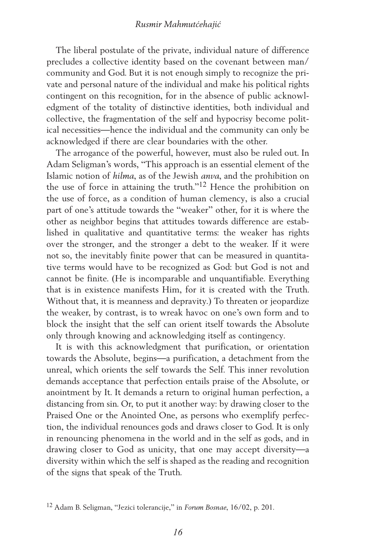The liberal postulate of the private, individual nature of difference precludes a collective identity based on the covenant between man/ community and God. But it is not enough simply to recognize the private and personal nature of the individual and make his political rights contingent on this recognition, for in the absence of public acknowledgment of the totality of distinctive identities, both individual and collective, the fragmentation of the self and hypocrisy become political necessities—hence the individual and the community can only be acknowledged if there are clear boundaries with the other.

The arrogance of the powerful, however, must also be ruled out. In Adam Seligman's words, "This approach is an essential element of the Islamic notion of *hilma*, as of the Jewish *anva*, and the prohibition on the use of force in attaining the truth."12 Hence the prohibition on the use of force, as a condition of human clemency, is also a crucial part of one's attitude towards the "weaker" other, for it is where the other as neighbor begins that attitudes towards difference are established in qualitative and quantitative terms: the weaker has rights over the stronger, and the stronger a debt to the weaker. If it were not so, the inevitably finite power that can be measured in quantitative terms would have to be recognized as God: but God is not and cannot be finite. (He is incomparable and unquantifiable. Everything that is in existence manifests Him, for it is created with the Truth. Without that, it is meanness and depravity.) To threaten or jeopardize the weaker, by contrast, is to wreak havoc on one's own form and to block the insight that the self can orient itself towards the Absolute only through knowing and acknowledging itself as contingency.

It is with this acknowledgment that purification, or orientation towards the Absolute, begins—a purification, a detachment from the unreal, which orients the self towards the Self. This inner revolution demands acceptance that perfection entails praise of the Absolute, or anointment by It. It demands a return to original human perfection, a distancing from sin. Or, to put it another way: by drawing closer to the Praised One or the Anointed One, as persons who exemplify perfection, the individual renounces gods and draws closer to God. It is only in renouncing phenomena in the world and in the self as gods, and in drawing closer to God as unicity, that one may accept diversity—a diversity within which the self is shaped as the reading and recognition of the signs that speak of the Truth.

<sup>12</sup> Adam B. Seligman, "Jezici tolerancije," in *Forum Bosnae*, 16/02, p. 201.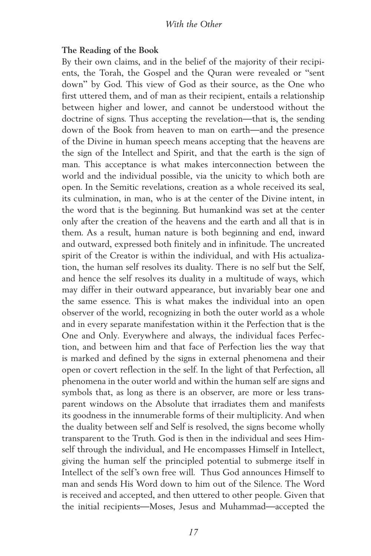#### **The Reading of the Book**

By their own claims, and in the belief of the majority of their recipients, the Torah, the Gospel and the Quran were revealed or "sent down" by God. This view of God as their source, as the One who first uttered them, and of man as their recipient, entails a relationship between higher and lower, and cannot be understood without the doctrine of signs. Thus accepting the revelation—that is, the sending down of the Book from heaven to man on earth—and the presence of the Divine in human speech means accepting that the heavens are the sign of the Intellect and Spirit, and that the earth is the sign of man. This acceptance is what makes interconnection between the world and the individual possible, via the unicity to which both are open. In the Semitic revelations, creation as a whole received its seal, its culmination, in man, who is at the center of the Divine intent, in the word that is the beginning. But humankind was set at the center only after the creation of the heavens and the earth and all that is in them. As a result, human nature is both beginning and end, inward and outward, expressed both finitely and in infinitude. The uncreated spirit of the Creator is within the individual, and with His actualization, the human self resolves its duality. There is no self but the Self, and hence the self resolves its duality in a multitude of ways, which may differ in their outward appearance, but invariably bear one and the same essence. This is what makes the individual into an open observer of the world, recognizing in both the outer world as a whole and in every separate manifestation within it the Perfection that is the One and Only. Everywhere and always, the individual faces Perfection, and between him and that face of Perfection lies the way that is marked and defined by the signs in external phenomena and their open or covert reflection in the self. In the light of that Perfection, all phenomena in the outer world and within the human self are signs and symbols that, as long as there is an observer, are more or less transparent windows on the Absolute that irradiates them and manifests its goodness in the innumerable forms of their multiplicity. And when the duality between self and Self is resolved, the signs become wholly transparent to the Truth. God is then in the individual and sees Himself through the individual, and He encompasses Himself in Intellect, giving the human self the principled potential to submerge itself in Intellect of the self's own free will. Thus God announces Himself to man and sends His Word down to him out of the Silence. The Word is received and accepted, and then uttered to other people. Given that the initial recipients—Moses, Jesus and Muhammad—accepted the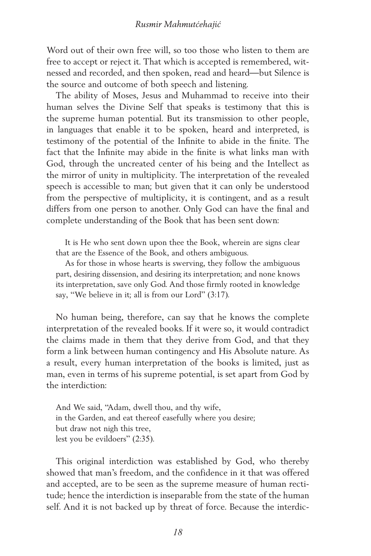Word out of their own free will, so too those who listen to them are free to accept or reject it. That which is accepted is remembered, witnessed and recorded, and then spoken, read and heard—but Silence is the source and outcome of both speech and listening.

The ability of Moses, Jesus and Muhammad to receive into their human selves the Divine Self that speaks is testimony that this is the supreme human potential. But its transmission to other people, in languages that enable it to be spoken, heard and interpreted, is testimony of the potential of the Infinite to abide in the finite. The fact that the Infinite may abide in the finite is what links man with God, through the uncreated center of his being and the Intellect as the mirror of unity in multiplicity. The interpretation of the revealed speech is accessible to man; but given that it can only be understood from the perspective of multiplicity, it is contingent, and as a result differs from one person to another. Only God can have the final and complete understanding of the Book that has been sent down:

It is He who sent down upon thee the Book, wherein are signs clear that are the Essence of the Book, and others ambiguous.

As for those in whose hearts is swerving, they follow the ambiguous part, desiring dissension, and desiring its interpretation; and none knows its interpretation, save only God. And those firmly rooted in knowledge say, "We believe in it; all is from our Lord" (3:17).

No human being, therefore, can say that he knows the complete interpretation of the revealed books. If it were so, it would contradict the claims made in them that they derive from God, and that they form a link between human contingency and His Absolute nature. As a result, every human interpretation of the books is limited, just as man, even in terms of his supreme potential, is set apart from God by the interdiction:

And We said, "Adam, dwell thou, and thy wife, in the Garden, and eat thereof easefully where you desire; but draw not nigh this tree, lest you be evildoers" (2:35).

This original interdiction was established by God, who thereby showed that man's freedom, and the confidence in it that was offered and accepted, are to be seen as the supreme measure of human rectitude; hence the interdiction is inseparable from the state of the human self. And it is not backed up by threat of force. Because the interdic-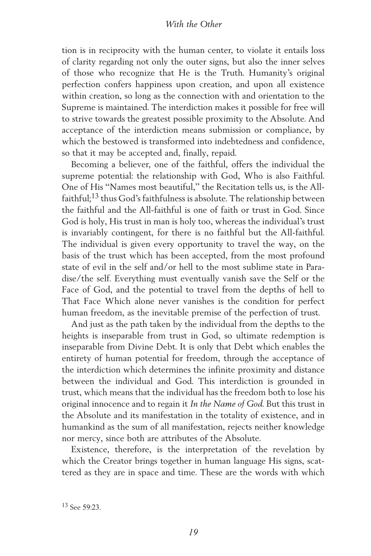tion is in reciprocity with the human center, to violate it entails loss of clarity regarding not only the outer signs, but also the inner selves of those who recognize that He is the Truth. Humanity's original perfection confers happiness upon creation, and upon all existence within creation, so long as the connection with and orientation to the Supreme is maintained. The interdiction makes it possible for free will to strive towards the greatest possible proximity to the Absolute. And acceptance of the interdiction means submission or compliance, by which the bestowed is transformed into indebtedness and confidence, so that it may be accepted and, finally, repaid.

Becoming a believer, one of the faithful, offers the individual the supreme potential: the relationship with God, Who is also Faithful. One of His "Names most beautiful," the Recitation tells us, is the Allfaithful:<sup>13</sup> thus God's faithfulness is absolute. The relationship between the faithful and the All-faithful is one of faith or trust in God. Since God is holy, His trust in man is holy too, whereas the individual's trust is invariably contingent, for there is no faithful but the All-faithful. The individual is given every opportunity to travel the way, on the basis of the trust which has been accepted, from the most profound state of evil in the self and/or hell to the most sublime state in Paradise/the self. Everything must eventually vanish save the Self or the Face of God, and the potential to travel from the depths of hell to That Face Which alone never vanishes is the condition for perfect human freedom, as the inevitable premise of the perfection of trust.

And just as the path taken by the individual from the depths to the heights is inseparable from trust in God, so ultimate redemption is inseparable from Divine Debt. It is only that Debt which enables the entirety of human potential for freedom, through the acceptance of the interdiction which determines the infinite proximity and distance between the individual and God. This interdiction is grounded in trust, which means that the individual has the freedom both to lose his original innocence and to regain it *In the Name of God*. But this trust in the Absolute and its manifestation in the totality of existence, and in humankind as the sum of all manifestation, rejects neither knowledge nor mercy, since both are attributes of the Absolute.

Existence, therefore, is the interpretation of the revelation by which the Creator brings together in human language His signs, scattered as they are in space and time. These are the words with which

<sup>13</sup> See 59:23.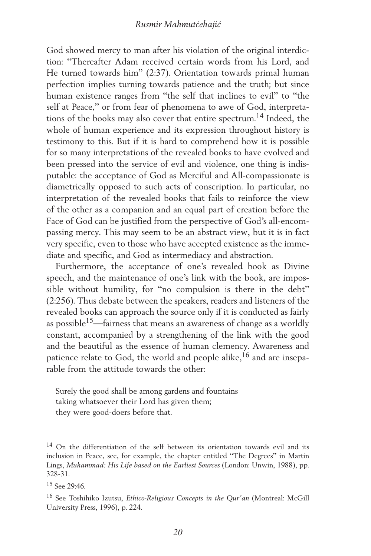God showed mercy to man after his violation of the original interdiction: "Thereafter Adam received certain words from his Lord, and He turned towards him" (2:37). Orientation towards primal human perfection implies turning towards patience and the truth; but since human existence ranges from "the self that inclines to evil" to "the self at Peace," or from fear of phenomena to awe of God, interpretations of the books may also cover that entire spectrum.14 Indeed, the whole of human experience and its expression throughout history is testimony to this. But if it is hard to comprehend how it is possible for so many interpretations of the revealed books to have evolved and been pressed into the service of evil and violence, one thing is indisputable: the acceptance of God as Merciful and All-compassionate is diametrically opposed to such acts of conscription. In particular, no interpretation of the revealed books that fails to reinforce the view of the other as a companion and an equal part of creation before the Face of God can be justified from the perspective of God's all-encompassing mercy. This may seem to be an abstract view, but it is in fact very specific, even to those who have accepted existence as the immediate and specific, and God as intermediacy and abstraction.

Furthermore, the acceptance of one's revealed book as Divine speech, and the maintenance of one's link with the book, are impossible without humility, for "no compulsion is there in the debt" (2:256). Thus debate between the speakers, readers and listeners of the revealed books can approach the source only if it is conducted as fairly as possible<sup>15</sup>—fairness that means an awareness of change as a worldly constant, accompanied by a strengthening of the link with the good and the beautiful as the essence of human clemency. Awareness and patience relate to God, the world and people alike,  $16$  and are inseparable from the attitude towards the other:

Surely the good shall be among gardens and fountains taking whatsoever their Lord has given them; they were good-doers before that.

<sup>&</sup>lt;sup>14</sup> On the differentiation of the self between its orientation towards evil and its inclusion in Peace, see, for example, the chapter entitled "The Degrees" in Martin Lings, *Muhammad: His Life based on the Earliest Sources* (London: Unwin, 1988), pp. 328-31.

<sup>15</sup> See 29:46.

<sup>16</sup> See Toshihiko Izutsu, *Ethico-Religious Concepts in the Qur'an* (Montreal: McGill University Press, 1996), p. 224.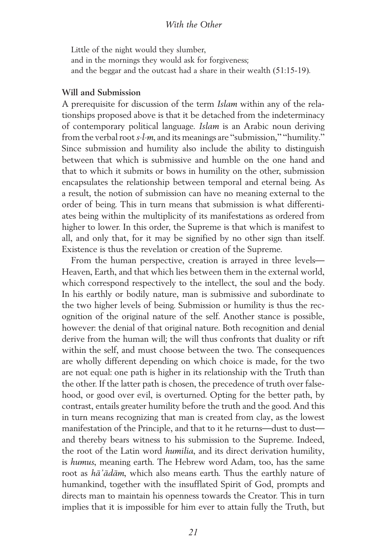Little of the night would they slumber, and in the mornings they would ask for forgiveness; and the beggar and the outcast had a share in their wealth (51:15-19).

#### **Will and Submission**

A prerequisite for discussion of the term *Islam* within any of the relationships proposed above is that it be detached from the indeterminacy of contemporary political language. *Islam* is an Arabic noun deriving from the verbal root *s-l-m*, and its meanings are "submission," "humility." Since submission and humility also include the ability to distinguish between that which is submissive and humble on the one hand and that to which it submits or bows in humility on the other, submission encapsulates the relationship between temporal and eternal being. As a result, the notion of submission can have no meaning external to the order of being. This in turn means that submission is what differentiates being within the multiplicity of its manifestations as ordered from higher to lower. In this order, the Supreme is that which is manifest to all, and only that, for it may be signified by no other sign than itself. Existence is thus the revelation or creation of the Supreme.

From the human perspective, creation is arrayed in three levels— Heaven, Earth, and that which lies between them in the external world, which correspond respectively to the intellect, the soul and the body. In his earthly or bodily nature, man is submissive and subordinate to the two higher levels of being. Submission or humility is thus the recognition of the original nature of the self. Another stance is possible, however: the denial of that original nature. Both recognition and denial derive from the human will; the will thus confronts that duality or rift within the self, and must choose between the two. The consequences are wholly different depending on which choice is made, for the two are not equal: one path is higher in its relationship with the Truth than the other. If the latter path is chosen, the precedence of truth over falsehood, or good over evil, is overturned. Opting for the better path, by contrast, entails greater humility before the truth and the good. And this in turn means recognizing that man is created from clay, as the lowest manifestation of the Principle, and that to it he returns—dust to dust and thereby bears witness to his submission to the Supreme. Indeed, the root of the Latin word *humilia*, and its direct derivation humility, is *humus*, meaning earth. The Hebrew word Adam, too, has the same root as *hā'ādām*, which also means earth. Thus the earthly nature of humankind, together with the insufflated Spirit of God, prompts and directs man to maintain his openness towards the Creator. This in turn implies that it is impossible for him ever to attain fully the Truth, but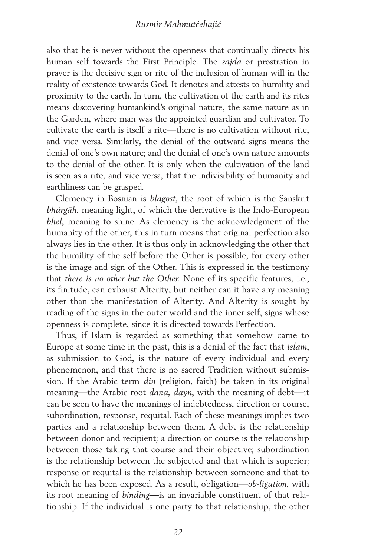also that he is never without the openness that continually directs his human self towards the First Principle. The *sajda* or prostration in prayer is the decisive sign or rite of the inclusion of human will in the reality of existence towards God. It denotes and attests to humility and proximity to the earth. In turn, the cultivation of the earth and its rites means discovering humankind's original nature, the same nature as in the Garden, where man was the appointed guardian and cultivator. To cultivate the earth is itself a rite—there is no cultivation without rite, and vice versa. Similarly, the denial of the outward signs means the denial of one's own nature; and the denial of one's own nature amounts to the denial of the other. It is only when the cultivation of the land is seen as a rite, and vice versa, that the indivisibility of humanity and earthliness can be grasped.

Clemency in Bosnian is *blagost*, the root of which is the Sanskrit *bhárgāh*, meaning light, of which the derivative is the Indo-European *bhel*, meaning to shine. As clemency is the acknowledgment of the humanity of the other, this in turn means that original perfection also always lies in the other. It is thus only in acknowledging the other that the humility of the self before the Other is possible, for every other is the image and sign of the Other. This is expressed in the testimony that *there is no other but the Other*. None of its specific features, i.e., its finitude, can exhaust Alterity, but neither can it have any meaning other than the manifestation of Alterity. And Alterity is sought by reading of the signs in the outer world and the inner self, signs whose openness is complete, since it is directed towards Perfection.

Thus, if Islam is regarded as something that somehow came to Europe at some time in the past, this is a denial of the fact that *islam*, as submission to God, is the nature of every individual and every phenomenon, and that there is no sacred Tradition without submission. If the Arabic term *din* (religion, faith) be taken in its original meaning—the Arabic root *dana*, *dayn*, with the meaning of debt—it can be seen to have the meanings of indebtedness, direction or course, subordination, response, requital. Each of these meanings implies two parties and a relationship between them. A debt is the relationship between donor and recipient; a direction or course is the relationship between those taking that course and their objective; subordination is the relationship between the subjected and that which is superior; response or requital is the relationship between someone and that to which he has been exposed. As a result, obligation—*ob-ligation*, with its root meaning of *binding*—is an invariable constituent of that relationship. If the individual is one party to that relationship, the other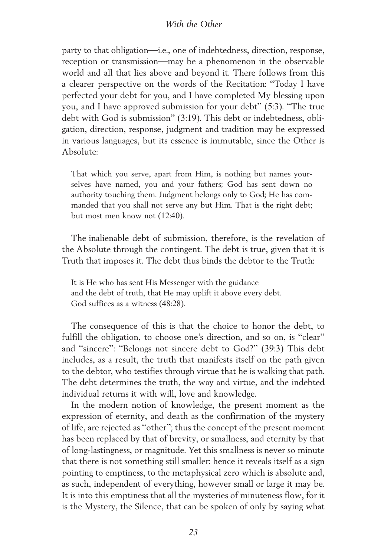party to that obligation—i.e., one of indebtedness, direction, response, reception or transmission—may be a phenomenon in the observable world and all that lies above and beyond it. There follows from this a clearer perspective on the words of the Recitation: "Today I have perfected your debt for you, and I have completed My blessing upon you, and I have approved submission for your debt" (5:3). "The true debt with God is submission" (3:19). This debt or indebtedness, obligation, direction, response, judgment and tradition may be expressed in various languages, but its essence is immutable, since the Other is Absolute:

That which you serve, apart from Him, is nothing but names yourselves have named, you and your fathers; God has sent down no authority touching them. Judgment belongs only to God; He has commanded that you shall not serve any but Him. That is the right debt; but most men know not (12:40).

The inalienable debt of submission, therefore, is the revelation of the Absolute through the contingent. The debt is true, given that it is Truth that imposes it. The debt thus binds the debtor to the Truth:

It is He who has sent His Messenger with the guidance and the debt of truth, that He may uplift it above every debt. God suffices as a witness (48:28).

The consequence of this is that the choice to honor the debt, to fulfill the obligation, to choose one's direction, and so on, is "clear" and "sincere": "Belongs not sincere debt to God?" (39:3) This debt includes, as a result, the truth that manifests itself on the path given to the debtor, who testifies through virtue that he is walking that path. The debt determines the truth, the way and virtue, and the indebted individual returns it with will, love and knowledge.

In the modern notion of knowledge, the present moment as the expression of eternity, and death as the confirmation of the mystery of life, are rejected as "other"; thus the concept of the present moment has been replaced by that of brevity, or smallness, and eternity by that of long-lastingness, or magnitude. Yet this smallness is never so minute that there is not something still smaller: hence it reveals itself as a sign pointing to emptiness, to the metaphysical zero which is absolute and, as such, independent of everything, however small or large it may be. It is into this emptiness that all the mysteries of minuteness flow, for it is the Mystery, the Silence, that can be spoken of only by saying what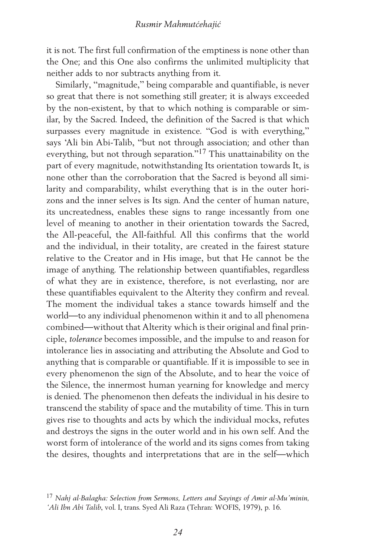it is not. The first full confirmation of the emptiness is none other than the One; and this One also confirms the unlimited multiplicity that neither adds to nor subtracts anything from it.

Similarly, "magnitude," being comparable and quantifiable, is never so great that there is not something still greater; it is always exceeded by the non-existent, by that to which nothing is comparable or similar, by the Sacred. Indeed, the definition of the Sacred is that which surpasses every magnitude in existence. "God is with everything," says 'Ali bin Abi-Talib, "but not through association; and other than everything, but not through separation."<sup>17</sup> This unattainability on the part of every magnitude, notwithstanding Its orientation towards It, is none other than the corroboration that the Sacred is beyond all similarity and comparability, whilst everything that is in the outer horizons and the inner selves is Its sign. And the center of human nature, its uncreatedness, enables these signs to range incessantly from one level of meaning to another in their orientation towards the Sacred, the All-peaceful, the All-faithful. All this confirms that the world and the individual, in their totality, are created in the fairest stature relative to the Creator and in His image, but that He cannot be the image of anything. The relationship between quantifiables, regardless of what they are in existence, therefore, is not everlasting, nor are these quantifiables equivalent to the Alterity they confirm and reveal. The moment the individual takes a stance towards himself and the world—to any individual phenomenon within it and to all phenomena combined—without that Alterity which is their original and final principle, *tolerance* becomes impossible, and the impulse to and reason for intolerance lies in associating and attributing the Absolute and God to anything that is comparable or quantifiable. If it is impossible to see in every phenomenon the sign of the Absolute, and to hear the voice of the Silence, the innermost human yearning for knowledge and mercy is denied. The phenomenon then defeats the individual in his desire to transcend the stability of space and the mutability of time. This in turn gives rise to thoughts and acts by which the individual mocks, refutes and destroys the signs in the outer world and in his own self. And the worst form of intolerance of the world and its signs comes from taking the desires, thoughts and interpretations that are in the self—which

<sup>17</sup>*Nahj al-Balagha: Selection from Sermons, Letters and Sayings of Amir al-Mu'minin, 'Ali Ibn Abi Talib*, vol. I, trans. Syed Ali Raza (Tehran: WOFIS, 1979), p. 16.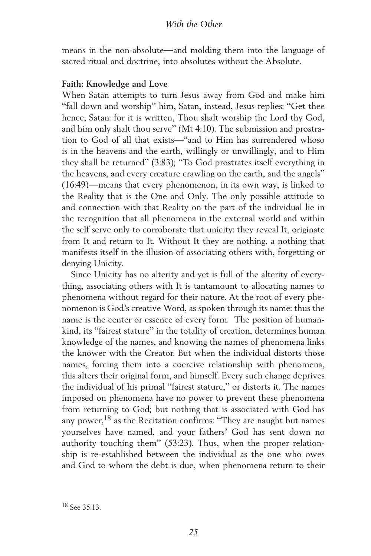means in the non-absolute—and molding them into the language of sacred ritual and doctrine, into absolutes without the Absolute.

#### **Faith: Knowledge and Love**

When Satan attempts to turn Jesus away from God and make him "fall down and worship" him, Satan, instead, Jesus replies: "Get thee hence, Satan: for it is written, Thou shalt worship the Lord thy God, and him only shalt thou serve" (Mt 4:10). The submission and prostration to God of all that exists—"and to Him has surrendered whoso is in the heavens and the earth, willingly or unwillingly, and to Him they shall be returned" (3:83); "To God prostrates itself everything in the heavens, and every creature crawling on the earth, and the angels" (16:49)—means that every phenomenon, in its own way, is linked to the Reality that is the One and Only. The only possible attitude to and connection with that Reality on the part of the individual lie in the recognition that all phenomena in the external world and within the self serve only to corroborate that unicity: they reveal It, originate from It and return to It. Without It they are nothing, a nothing that manifests itself in the illusion of associating others with, forgetting or denying Unicity.

Since Unicity has no alterity and yet is full of the alterity of everything, associating others with It is tantamount to allocating names to phenomena without regard for their nature. At the root of every phenomenon is God's creative Word, as spoken through its name: thus the name is the center or essence of every form. The position of humankind, its "fairest stature" in the totality of creation, determines human knowledge of the names, and knowing the names of phenomena links the knower with the Creator. But when the individual distorts those names, forcing them into a coercive relationship with phenomena, this alters their original form, and himself. Every such change deprives the individual of his primal "fairest stature," or distorts it. The names imposed on phenomena have no power to prevent these phenomena from returning to God; but nothing that is associated with God has any power,  $18$  as the Recitation confirms: "They are naught but names yourselves have named, and your fathers' God has sent down no authority touching them" (53:23). Thus, when the proper relationship is re-established between the individual as the one who owes and God to whom the debt is due, when phenomena return to their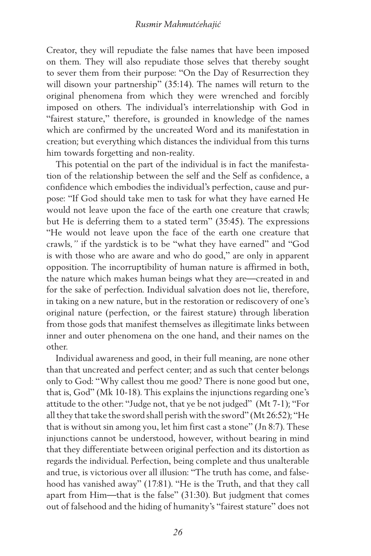Creator, they will repudiate the false names that have been imposed on them. They will also repudiate those selves that thereby sought to sever them from their purpose: "On the Day of Resurrection they will disown your partnership" (35:14). The names will return to the original phenomena from which they were wrenched and forcibly imposed on others. The individual's interrelationship with God in "fairest stature," therefore, is grounded in knowledge of the names which are confirmed by the uncreated Word and its manifestation in creation; but everything which distances the individual from this turns him towards forgetting and non-reality.

This potential on the part of the individual is in fact the manifestation of the relationship between the self and the Self as confidence, a confidence which embodies the individual's perfection, cause and purpose: "If God should take men to task for what they have earned He would not leave upon the face of the earth one creature that crawls; but He is deferring them to a stated term" (35:45). The expressions "He would not leave upon the face of the earth one creature that crawls*,"* if the yardstick is to be "what they have earned" and "God is with those who are aware and who do good," are only in apparent opposition. The incorruptibility of human nature is affirmed in both, the nature which makes human beings what they are—created in and for the sake of perfection. Individual salvation does not lie, therefore, in taking on a new nature, but in the restoration or rediscovery of one's original nature (perfection, or the fairest stature) through liberation from those gods that manifest themselves as illegitimate links between inner and outer phenomena on the one hand, and their names on the other.

Individual awareness and good, in their full meaning, are none other than that uncreated and perfect center; and as such that center belongs only to God: "Why callest thou me good? There is none good but one, that is, God" (Mk 10-18). This explains the injunctions regarding one's attitude to the other: "Judge not, that ye be not judged" (Mt 7-1); "For all they that take the sword shall perish with the sword" (Mt 26:52); "He that is without sin among you, let him first cast a stone" (Jn 8:7). These injunctions cannot be understood, however, without bearing in mind that they differentiate between original perfection and its distortion as regards the individual. Perfection, being complete and thus unalterable and true, is victorious over all illusion: "The truth has come, and falsehood has vanished away" (17:81). "He is the Truth, and that they call apart from Him—that is the false" (31:30). But judgment that comes out of falsehood and the hiding of humanity's "fairest stature" does not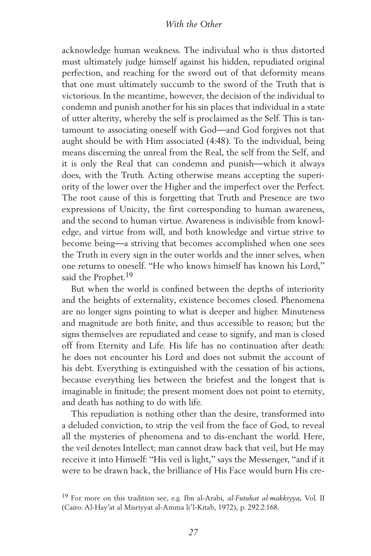acknowledge human weakness. The individual who is thus distorted must ultimately judge himself against his hidden, repudiated original perfection, and reaching for the sword out of that deformity means that one must ultimately succumb to the sword of the Truth that is victorious. In the meantime, however, the decision of the individual to condemn and punish another for his sin places that individual in a state of utter alterity, whereby the self is proclaimed as the Self. This is tantamount to associating oneself with God—and God forgives not that aught should be with Him associated (4:48). To the individual, being means discerning the unreal from the Real, the self from the Self, and it is only the Real that can condemn and punish—which it always does, with the Truth. Acting otherwise means accepting the superiority of the lower over the Higher and the imperfect over the Perfect. The root cause of this is forgetting that Truth and Presence are two expressions of Unicity, the first corresponding to human awareness, and the second to human virtue. Awareness is indivisible from knowledge, and virtue from will, and both knowledge and virtue strive to become being—a striving that becomes accomplished when one sees the Truth in every sign in the outer worlds and the inner selves, when one returns to oneself. "He who knows himself has known his Lord," said the Prophet.<sup>19</sup>

But when the world is confined between the depths of interiority and the heights of externality, existence becomes closed. Phenomena are no longer signs pointing to what is deeper and higher. Minuteness and magnitude are both finite, and thus accessible to reason; but the signs themselves are repudiated and cease to signify, and man is closed off from Eternity and Life. His life has no continuation after death: he does not encounter his Lord and does not submit the account of his debt. Everything is extinguished with the cessation of his actions, because everything lies between the briefest and the longest that is imaginable in finitude; the present moment does not point to eternity, and death has nothing to do with life.

This repudiation is nothing other than the desire, transformed into a deluded conviction, to strip the veil from the face of God, to reveal all the mysteries of phenomena and to dis-enchant the world. Here, the veil denotes Intellect; man cannot draw back that veil, but He may receive it into Himself: "His veil is light," says the Messenger, "and if it were to be drawn back, the brilliance of His Face would burn His cre-

<sup>19</sup> For more on this tradition see, e.g. Ibn al-Arabi, *al-Futuhat al-makkiyya*, Vol. II (Cairo: Al-Hay'at al Misriyyat al-Amma li'l-Kitab, 1972), p. 292.2:168.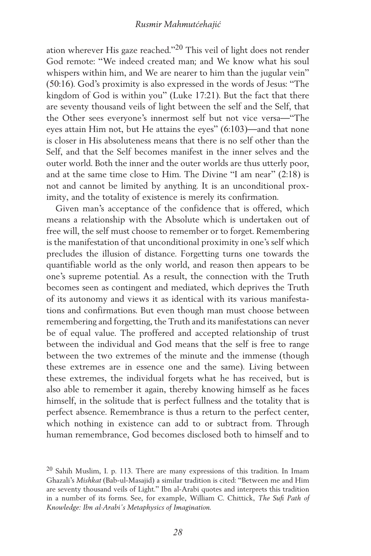ation wherever His gaze reached."<sup>20</sup> This veil of light does not render God remote: "We indeed created man; and We know what his soul whispers within him, and We are nearer to him than the jugular vein" (50:16). God's proximity is also expressed in the words of Jesus: "The kingdom of God is within you" (Luke 17:21). But the fact that there are seventy thousand veils of light between the self and the Self, that the Other sees everyone's innermost self but not vice versa—"The eyes attain Him not, but He attains the eyes" (6:103)—and that none is closer in His absoluteness means that there is no self other than the Self, and that the Self becomes manifest in the inner selves and the outer world. Both the inner and the outer worlds are thus utterly poor, and at the same time close to Him. The Divine "I am near" (2:18) is not and cannot be limited by anything. It is an unconditional proximity, and the totality of existence is merely its confirmation.

Given man's acceptance of the confidence that is offered, which means a relationship with the Absolute which is undertaken out of free will, the self must choose to remember or to forget. Remembering is the manifestation of that unconditional proximity in one's self which precludes the illusion of distance. Forgetting turns one towards the quantifiable world as the only world, and reason then appears to be one's supreme potential. As a result, the connection with the Truth becomes seen as contingent and mediated, which deprives the Truth of its autonomy and views it as identical with its various manifestations and confirmations. But even though man must choose between remembering and forgetting, the Truth and its manifestations can never be of equal value. The proffered and accepted relationship of trust between the individual and God means that the self is free to range between the two extremes of the minute and the immense (though these extremes are in essence one and the same). Living between these extremes, the individual forgets what he has received, but is also able to remember it again, thereby knowing himself as he faces himself, in the solitude that is perfect fullness and the totality that is perfect absence. Remembrance is thus a return to the perfect center, which nothing in existence can add to or subtract from. Through human remembrance, God becomes disclosed both to himself and to

 in a number of its forms. See, for example, William C. Chittick, *The Sufi Path of*   $20$  Sahih Muslim, I. p. 113. There are many expressions of this tradition. In Imam Ghazali's *Mishkat* (Bab-ul-Masajid) a similar tradition is cited: "Between me and Him are seventy thousand veils of Light." Ibn al-Arabi quotes and interprets this tradition *Knowledge: Ibn al-Arabi's Metaphysics of Imagination*.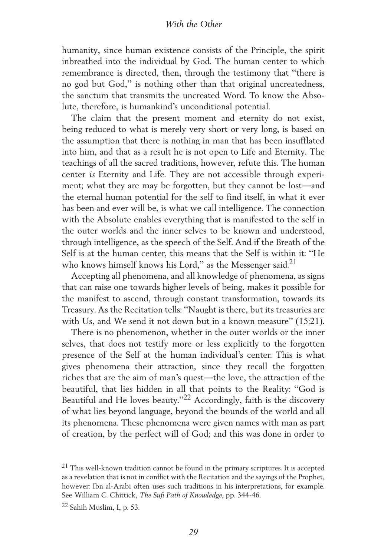humanity, since human existence consists of the Principle, the spirit inbreathed into the individual by God. The human center to which remembrance is directed, then, through the testimony that "there is no god but God," is nothing other than that original uncreatedness, the sanctum that transmits the uncreated Word. To know the Absolute, therefore, is humankind's unconditional potential.

The claim that the present moment and eternity do not exist, being reduced to what is merely very short or very long, is based on the assumption that there is nothing in man that has been insufflated into him, and that as a result he is not open to Life and Eternity. The teachings of all the sacred traditions, however, refute this. The human center *is* Eternity and Life. They are not accessible through experiment; what they are may be forgotten, but they cannot be lost—and the eternal human potential for the self to find itself, in what it ever has been and ever will be, is what we call intelligence. The connection with the Absolute enables everything that is manifested to the self in the outer worlds and the inner selves to be known and understood, through intelligence, as the speech of the Self. And if the Breath of the Self is at the human center, this means that the Self is within it: "He who knows himself knows his Lord," as the Messenger said.<sup>21</sup>

Accepting all phenomena, and all knowledge of phenomena, as signs that can raise one towards higher levels of being, makes it possible for the manifest to ascend, through constant transformation, towards its Treasury. As the Recitation tells: "Naught is there, but its treasuries are with Us, and We send it not down but in a known measure" (15:21).

There is no phenomenon, whether in the outer worlds or the inner selves, that does not testify more or less explicitly to the forgotten presence of the Self at the human individual's center. This is what gives phenomena their attraction, since they recall the forgotten riches that are the aim of man's quest—the love, the attraction of the beautiful, that lies hidden in all that points to the Reality: "God is Beautiful and He loves beauty."<sup>22</sup> Accordingly, faith is the discovery of what lies beyond language, beyond the bounds of the world and all its phenomena. These phenomena were given names with man as part of creation, by the perfect will of God; and this was done in order to

 $21$  This well-known tradition cannot be found in the primary scriptures. It is accepted as a revelation that is not in conflict with the Recitation and the sayings of the Prophet, however: Ibn al-Arabi often uses such traditions in his interpretations, for example. See William C. Chittick, *The Sufi Path of Knowledge*, pp. 344-46.

 $22$  Sahih Muslim, I, p. 53.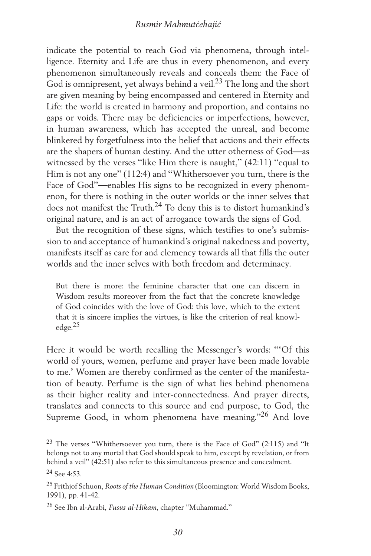indicate the potential to reach God via phenomena, through intelligence. Eternity and Life are thus in every phenomenon, and every phenomenon simultaneously reveals and conceals them: the Face of God is omnipresent, yet always behind a veil.<sup>23</sup> The long and the short are given meaning by being encompassed and centered in Eternity and Life: the world is created in harmony and proportion, and contains no gaps or voids. There may be deficiencies or imperfections, however, in human awareness, which has accepted the unreal, and become blinkered by forgetfulness into the belief that actions and their effects are the shapers of human destiny. And the utter otherness of God—as witnessed by the verses "like Him there is naught," (42:11) "equal to Him is not any one" (112:4) and "Whithersoever you turn, there is the Face of God"—enables His signs to be recognized in every phenomenon, for there is nothing in the outer worlds or the inner selves that does not manifest the Truth.<sup>24</sup> To deny this is to distort humankind's original nature, and is an act of arrogance towards the signs of God.

But the recognition of these signs, which testifies to one's submission to and acceptance of humankind's original nakedness and poverty, manifests itself as care for and clemency towards all that fills the outer worlds and the inner selves with both freedom and determinacy.

But there is more: the feminine character that one can discern in Wisdom results moreover from the fact that the concrete knowledge of God coincides with the love of God: this love, which to the extent that it is sincere implies the virtues, is like the criterion of real knowledge.<sup>25</sup>

Here it would be worth recalling the Messenger's words: "'Of this world of yours, women, perfume and prayer have been made lovable to me.' Women are thereby confirmed as the center of the manifestation of beauty. Perfume is the sign of what lies behind phenomena as their higher reality and inter-connectedness. And prayer directs, translates and connects to this source and end purpose, to God, the Supreme Good, in whom phenomena have meaning."26 And love

26 See Ibn al-Arabi, *Fusus al-Hikam*, chapter "Muhammad."

<sup>&</sup>lt;sup>23</sup> The verses "Whithersoever you turn, there is the Face of God" (2:115) and "It belongs not to any mortal that God should speak to him, except by revelation, or from behind a veil" (42:51) also refer to this simultaneous presence and concealment. 24 See 4:53.

<sup>25</sup> Frithjof Schuon, *Roots of the Human Condition* (Bloomington: World Wisdom Books, 1991), pp. 41-42.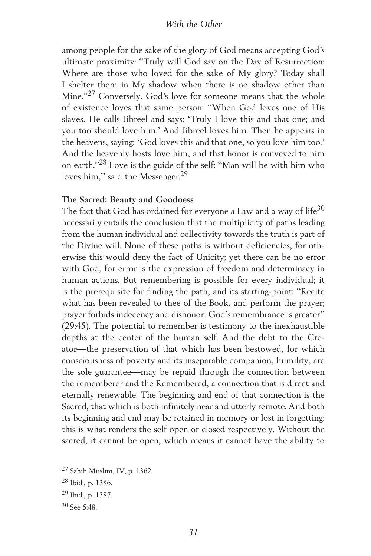among people for the sake of the glory of God means accepting God's ultimate proximity: "Truly will God say on the Day of Resurrection: Where are those who loved for the sake of My glory? Today shall I shelter them in My shadow when there is no shadow other than Mine."27 Conversely, God's love for someone means that the whole of existence loves that same person: "When God loves one of His slaves, He calls Jibreel and says: 'Truly I love this and that one; and you too should love him.' And Jibreel loves him. Then he appears in the heavens, saying: 'God loves this and that one, so you love him too.' And the heavenly hosts love him, and that honor is conveyed to him on earth."28 Love is the guide of the self: "Man will be with him who loves him," said the Messenger.<sup>29</sup>

#### **The Sacred: Beauty and Goodness**

The fact that God has ordained for everyone a Law and a way of  $life^{30}$ necessarily entails the conclusion that the multiplicity of paths leading from the human individual and collectivity towards the truth is part of the Divine will. None of these paths is without deficiencies, for otherwise this would deny the fact of Unicity; yet there can be no error with God, for error is the expression of freedom and determinacy in human actions. But remembering is possible for every individual; it is the prerequisite for finding the path, and its starting-point: "Recite what has been revealed to thee of the Book, and perform the prayer; prayer forbids indecency and dishonor*.* God's remembrance is greater" (29:45). The potential to remember is testimony to the inexhaustible depths at the center of the human self. And the debt to the Creator—the preservation of that which has been bestowed, for which consciousness of poverty and its inseparable companion, humility, are the sole guarantee—may be repaid through the connection between the rememberer and the Remembered, a connection that is direct and eternally renewable. The beginning and end of that connection is the Sacred, that which is both infinitely near and utterly remote. And both its beginning and end may be retained in memory or lost in forgetting: this is what renders the self open or closed respectively. Without the sacred, it cannot be open, which means it cannot have the ability to

27 Sahih Muslim, IV, p. 1362. 28 Ibid., p. 1386. 29 Ibid., p. 1387. 30 See 5:48.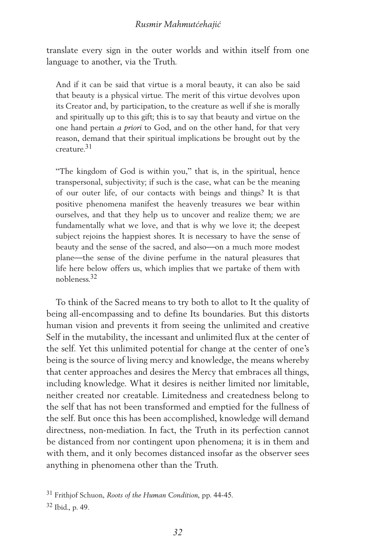translate every sign in the outer worlds and within itself from one language to another, via the Truth.

And if it can be said that virtue is a moral beauty, it can also be said that beauty is a physical virtue. The merit of this virtue devolves upon its Creator and, by participation, to the creature as well if she is morally and spiritually up to this gift; this is to say that beauty and virtue on the one hand pertain *a priori* to God, and on the other hand, for that very reason, demand that their spiritual implications be brought out by the creature.31

"The kingdom of God is within you," that is, in the spiritual, hence transpersonal, subjectivity; if such is the case, what can be the meaning of our outer life, of our contacts with beings and things? It is that positive phenomena manifest the heavenly treasures we bear within ourselves, and that they help us to uncover and realize them; we are fundamentally what we love, and that is why we love it; the deepest subject rejoins the happiest shores. It is necessary to have the sense of beauty and the sense of the sacred, and also—on a much more modest plane—the sense of the divine perfume in the natural pleasures that life here below offers us, which implies that we partake of them with nobleness.<sup>32</sup>

To think of the Sacred means to try both to allot to It the quality of being all-encompassing and to define Its boundaries. But this distorts human vision and prevents it from seeing the unlimited and creative Self in the mutability, the incessant and unlimited flux at the center of the self. Yet this unlimited potential for change at the center of one's being is the source of living mercy and knowledge, the means whereby that center approaches and desires the Mercy that embraces all things, including knowledge. What it desires is neither limited nor limitable, neither created nor creatable. Limitedness and createdness belong to the self that has not been transformed and emptied for the fullness of the self. But once this has been accomplished, knowledge will demand directness, non-mediation. In fact, the Truth in its perfection cannot be distanced from nor contingent upon phenomena; it is in them and with them, and it only becomes distanced insofar as the observer sees anything in phenomena other than the Truth.

<sup>31</sup> Frithjof Schuon, *Roots of the Human Condition*, pp. 44-45. 32 Ibid., p. 49.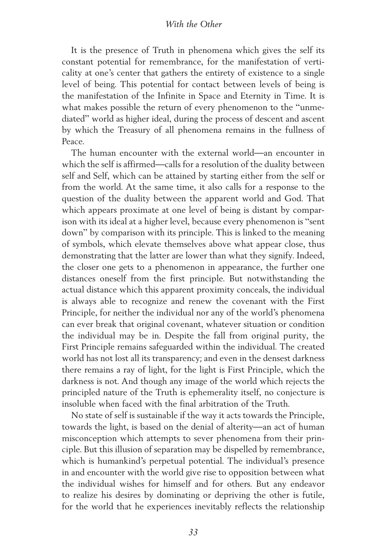It is the presence of Truth in phenomena which gives the self its constant potential for remembrance, for the manifestation of verticality at one's center that gathers the entirety of existence to a single level of being. This potential for contact between levels of being is the manifestation of the Infinite in Space and Eternity in Time. It is what makes possible the return of every phenomenon to the "unmediated" world as higher ideal, during the process of descent and ascent by which the Treasury of all phenomena remains in the fullness of Peace.

The human encounter with the external world—an encounter in which the self is affirmed—calls for a resolution of the duality between self and Self, which can be attained by starting either from the self or from the world. At the same time, it also calls for a response to the question of the duality between the apparent world and God. That which appears proximate at one level of being is distant by comparison with its ideal at a higher level, because every phenomenon is "sent down" by comparison with its principle. This is linked to the meaning of symbols, which elevate themselves above what appear close, thus demonstrating that the latter are lower than what they signify. Indeed, the closer one gets to a phenomenon in appearance, the further one distances oneself from the first principle. But notwithstanding the actual distance which this apparent proximity conceals, the individual is always able to recognize and renew the covenant with the First Principle, for neither the individual nor any of the world's phenomena can ever break that original covenant, whatever situation or condition the individual may be in. Despite the fall from original purity, the First Principle remains safeguarded within the individual. The created world has not lost all its transparency; and even in the densest darkness there remains a ray of light, for the light is First Principle, which the darkness is not. And though any image of the world which rejects the principled nature of the Truth is ephemerality itself, no conjecture is insoluble when faced with the final arbitration of the Truth.

No state of self is sustainable if the way it acts towards the Principle, towards the light, is based on the denial of alterity—an act of human misconception which attempts to sever phenomena from their principle. But this illusion of separation may be dispelled by remembrance, which is humankind's perpetual potential. The individual's presence in and encounter with the world give rise to opposition between what the individual wishes for himself and for others. But any endeavor to realize his desires by dominating or depriving the other is futile, for the world that he experiences inevitably reflects the relationship

*33*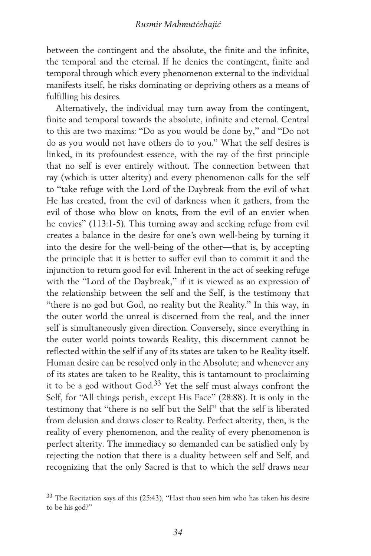between the contingent and the absolute, the finite and the infinite, the temporal and the eternal. If he denies the contingent, finite and temporal through which every phenomenon external to the individual manifests itself, he risks dominating or depriving others as a means of fulfilling his desires.

Alternatively, the individual may turn away from the contingent, finite and temporal towards the absolute, infinite and eternal. Central to this are two maxims: "Do as you would be done by," and "Do not do as you would not have others do to you." What the self desires is linked, in its profoundest essence, with the ray of the first principle that no self is ever entirely without. The connection between that ray (which is utter alterity) and every phenomenon calls for the self to "take refuge with the Lord of the Daybreak from the evil of what He has created, from the evil of darkness when it gathers, from the evil of those who blow on knots, from the evil of an envier when he envies" (113:1-5). This turning away and seeking refuge from evil creates a balance in the desire for one's own well-being by turning it into the desire for the well-being of the other—that is, by accepting the principle that it is better to suffer evil than to commit it and the injunction to return good for evil. Inherent in the act of seeking refuge with the "Lord of the Daybreak," if it is viewed as an expression of the relationship between the self and the Self, is the testimony that "there is no god but God, no reality but the Reality." In this way, in the outer world the unreal is discerned from the real, and the inner self is simultaneously given direction. Conversely, since everything in the outer world points towards Reality, this discernment cannot be reflected within the self if any of its states are taken to be Reality itself. Human desire can be resolved only in the Absolute; and whenever any of its states are taken to be Reality, this is tantamount to proclaiming it to be a god without God.<sup>33</sup> Yet the self must always confront the Self, for "All things perish, except His Face" (28:88). It is only in the testimony that "there is no self but the Self" that the self is liberated from delusion and draws closer to Reality. Perfect alterity, then, is the reality of every phenomenon, and the reality of every phenomenon is perfect alterity. The immediacy so demanded can be satisfied only by rejecting the notion that there is a duality between self and Self, and recognizing that the only Sacred is that to which the self draws near

<sup>33</sup> The Recitation says of this (25:43), "Hast thou seen him who has taken his desire to be his god?"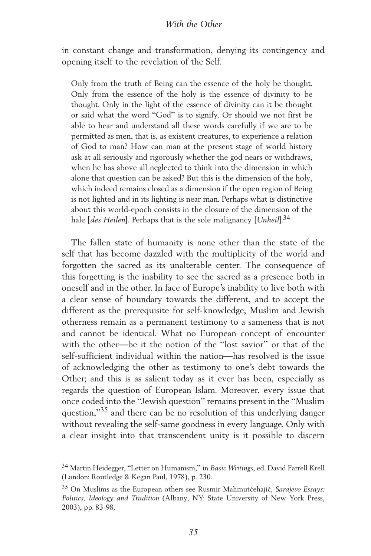in constant change and transformation, denying its contingency and opening itself to the revelation of the Self.

Only from the truth of Being can the essence of the holy be thought. Only from the essence of the holy is the essence of divinity to be thought. Only in the light of the essence of divinity can it be thought or said what the word "God" is to signify. Or should we not first be able to hear and understand all these words carefully if we are to be permitted as men, that is, as existent creatures, to experience a relation of God to man? How can man at the present stage of world history ask at all seriously and rigorously whether the god nears or withdraws, when he has above all neglected to think into the dimension in which alone that question can be asked? But this is the dimension of the holy, which indeed remains closed as a dimension if the open region of Being is not lighted and in its lighting is near man. Perhaps what is distinctive about this world-epoch consists in the closure of the dimension of the hale *[des Heilen]*. Perhaps that is the sole malignancy *[Unheil*].<sup>34</sup>

The fallen state of humanity is none other than the state of the self that has become dazzled with the multiplicity of the world and forgotten the sacred as its unalterable center. The consequence of this forgetting is the inability to see the sacred as a presence both in oneself and in the other. In face of Europe's inability to live both with a clear sense of boundary towards the different, and to accept the different as the prerequisite for self-knowledge, Muslim and Jewish otherness remain as a permanent testimony to a sameness that is not and cannot be identical. What no European concept of encounter with the other—be it the notion of the "lost savior" or that of the self-sufficient individual within the nation—has resolved is the issue of acknowledging the other as testimony to one's debt towards the Other; and this is as salient today as it ever has been, especially as regards the question of European Islam. Moreover, every issue that once coded into the "Jewish question" remains present in the "Muslim question,"<sup>35</sup> and there can be no resolution of this underlying danger without revealing the self-same goodness in every language. Only with a clear insight into that transcendent unity is it possible to discern

<sup>34</sup> Martin Heidegger, "Letter on Humanism," in *Basic Writings*, ed. David Farrell Krell (London: Routledge & Kegan Paul, 1978), p. 230.

<sup>35</sup> On Muslims as the European others see Rusmir Mahmutćehajić, *Sarajevo Essays: Politics, Ideology and Tradition* (Albany, NY: State University of New York Press, 2003), pp. 83-98.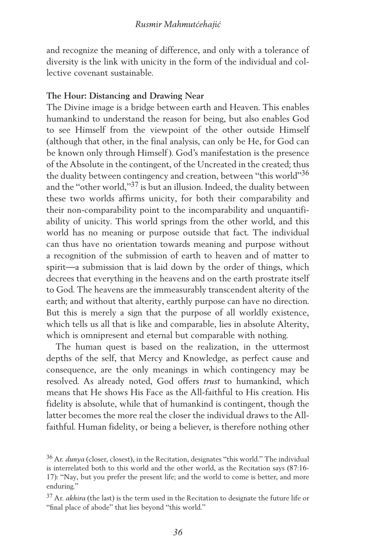and recognize the meaning of difference, and only with a tolerance of diversity is the link with unicity in the form of the individual and collective covenant sustainable.

#### **The Hour: Distancing and Drawing Near**

The Divine image is a bridge between earth and Heaven. This enables humankind to understand the reason for being, but also enables God to see Himself from the viewpoint of the other outside Himself (although that other, in the final analysis, can only be He, for God can be known only through Himself ). God's manifestation is the presence of the Absolute in the contingent, of the Uncreated in the created; thus the duality between contingency and creation, between "this world"<sup>36</sup> and the "other world,"37 is but an illusion. Indeed, the duality between these two worlds affirms unicity, for both their comparability and their non-comparability point to the incomparability and unquantifiability of unicity. This world springs from the other world, and this world has no meaning or purpose outside that fact. The individual can thus have no orientation towards meaning and purpose without a recognition of the submission of earth to heaven and of matter to spirit—a submission that is laid down by the order of things, which decrees that everything in the heavens and on the earth prostrate itself to God. The heavens are the immeasurably transcendent alterity of the earth; and without that alterity, earthly purpose can have no direction. But this is merely a sign that the purpose of all worldly existence, which tells us all that is like and comparable, lies in absolute Alterity, which is omnipresent and eternal but comparable with nothing.

The human quest is based on the realization, in the uttermost depths of the self, that Mercy and Knowledge, as perfect cause and consequence, are the only meanings in which contingency may be resolved. As already noted, God offers *trust* to humankind, which means that He shows His Face as the All-faithful to His creation. His fidelity is absolute, while that of humankind is contingent, though the latter becomes the more real the closer the individual draws to the Allfaithful. Human fidelity, or being a believer, is therefore nothing other

<sup>36</sup> Ar. *dunya* (closer, closest), in the Recitation, designates "this world." The individual is interrelated both to this world and the other world, as the Recitation says (87:16 17): "Nay, but you prefer the present life; and the world to come is better, and more enduring."

<sup>37</sup> Ar. *akhira* (the last) is the term used in the Recitation to designate the future life or "final place of abode" that lies beyond "this world."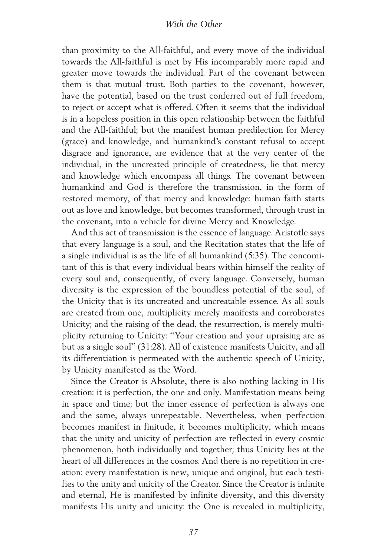than proximity to the All-faithful, and every move of the individual towards the All-faithful is met by His incomparably more rapid and greater move towards the individual. Part of the covenant between them is that mutual trust. Both parties to the covenant, however, have the potential, based on the trust conferred out of full freedom, to reject or accept what is offered. Often it seems that the individual is in a hopeless position in this open relationship between the faithful and the All-faithful; but the manifest human predilection for Mercy (grace) and knowledge, and humankind's constant refusal to accept disgrace and ignorance, are evidence that at the very center of the individual, in the uncreated principle of createdness, lie that mercy and knowledge which encompass all things. The covenant between humankind and God is therefore the transmission, in the form of restored memory, of that mercy and knowledge: human faith starts out as love and knowledge, but becomes transformed, through trust in the covenant, into a vehicle for divine Mercy and Knowledge.

And this act of transmission is the essence of language. Aristotle says that every language is a soul, and the Recitation states that the life of a single individual is as the life of all humankind (5:35). The concomitant of this is that every individual bears within himself the reality of every soul and, consequently, of every language. Conversely, human diversity is the expression of the boundless potential of the soul, of the Unicity that is its uncreated and uncreatable essence. As all souls are created from one, multiplicity merely manifests and corroborates Unicity; and the raising of the dead, the resurrection, is merely multiplicity returning to Unicity: "Your creation and your upraising are as but as a single soul" (31:28). All of existence manifests Unicity, and all its differentiation is permeated with the authentic speech of Unicity, by Unicity manifested as the Word.

Since the Creator is Absolute, there is also nothing lacking in His creation: it is perfection, the one and only. Manifestation means being in space and time; but the inner essence of perfection is always one and the same, always unrepeatable. Nevertheless, when perfection becomes manifest in finitude, it becomes multiplicity, which means that the unity and unicity of perfection are reflected in every cosmic phenomenon, both individually and together; thus Unicity lies at the heart of all differences in the cosmos. And there is no repetition in creation: every manifestation is new, unique and original, but each testifies to the unity and unicity of the Creator. Since the Creator is infinite and eternal, He is manifested by infinite diversity, and this diversity manifests His unity and unicity: the One is revealed in multiplicity,

*37*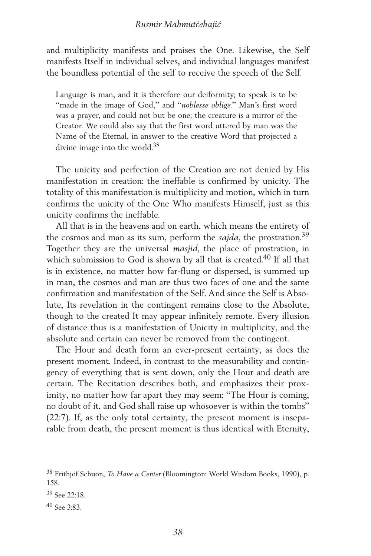and multiplicity manifests and praises the One. Likewise, the Self manifests Itself in individual selves, and individual languages manifest the boundless potential of the self to receive the speech of the Self.

Language is man, and it is therefore our deiformity; to speak is to be "made in the image of God," and "*noblesse oblige*." Man's first word was a prayer, and could not but be one; the creature is a mirror of the Creator. We could also say that the first word uttered by man was the Name of the Eternal, in answer to the creative Word that projected a divine image into the world.<sup>38</sup>

The unicity and perfection of the Creation are not denied by His manifestation in creation: the ineffable is confirmed by unicity. The totality of this manifestation is multiplicity and motion, which in turn confirms the unicity of the One Who manifests Himself, just as this unicity confirms the ineffable.

All that is in the heavens and on earth, which means the entirety of the cosmos and man as its sum, perform the *sajda*, the prostration.39 Together they are the universal *masjid*, the place of prostration, in which submission to God is shown by all that is created.<sup>40</sup> If all that is in existence, no matter how far-flung or dispersed, is summed up in man, the cosmos and man are thus two faces of one and the same confirmation and manifestation of the Self. And since the Self is Absolute, Its revelation in the contingent remains close to the Absolute, though to the created It may appear infinitely remote. Every illusion of distance thus is a manifestation of Unicity in multiplicity, and the absolute and certain can never be removed from the contingent.

The Hour and death form an ever-present certainty, as does the present moment. Indeed, in contrast to the measurability and contingency of everything that is sent down, only the Hour and death are certain. The Recitation describes both, and emphasizes their proximity, no matter how far apart they may seem: "The Hour is coming, no doubt of it, and God shall raise up whosoever is within the tombs" (22:7). If, as the only total certainty, the present moment is inseparable from death, the present moment is thus identical with Eternity,

<sup>38</sup> Frithjof Schuon, *To Have a Center* (Bloomington: World Wisdom Books, 1990), p. 158. 39 See 22:18.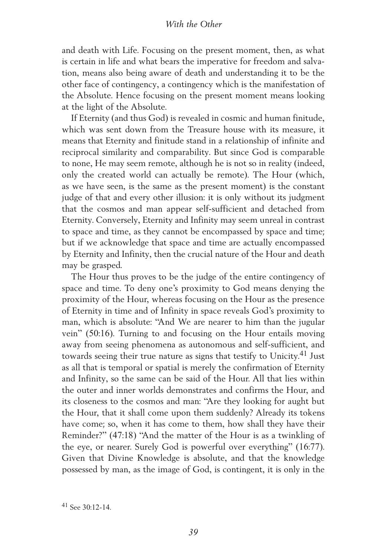and death with Life. Focusing on the present moment, then, as what is certain in life and what bears the imperative for freedom and salvation, means also being aware of death and understanding it to be the other face of contingency, a contingency which is the manifestation of the Absolute. Hence focusing on the present moment means looking at the light of the Absolute.

If Eternity (and thus God) is revealed in cosmic and human finitude, which was sent down from the Treasure house with its measure, it means that Eternity and finitude stand in a relationship of infinite and reciprocal similarity and comparability. But since God is comparable to none, He may seem remote, although he is not so in reality (indeed, only the created world can actually be remote). The Hour (which, as we have seen, is the same as the present moment) is the constant judge of that and every other illusion: it is only without its judgment that the cosmos and man appear self-sufficient and detached from Eternity. Conversely, Eternity and Infinity may seem unreal in contrast to space and time, as they cannot be encompassed by space and time; but if we acknowledge that space and time are actually encompassed by Eternity and Infinity, then the crucial nature of the Hour and death may be grasped.

The Hour thus proves to be the judge of the entire contingency of space and time. To deny one's proximity to God means denying the proximity of the Hour, whereas focusing on the Hour as the presence of Eternity in time and of Infinity in space reveals God's proximity to man, which is absolute: "And We are nearer to him than the jugular vein" (50:16). Turning to and focusing on the Hour entails moving away from seeing phenomena as autonomous and self-sufficient, and towards seeing their true nature as signs that testify to Unicity.<sup>41</sup> Just as all that is temporal or spatial is merely the confirmation of Eternity and Infinity, so the same can be said of the Hour. All that lies within the outer and inner worlds demonstrates and confirms the Hour, and its closeness to the cosmos and man: "Are they looking for aught but the Hour, that it shall come upon them suddenly? Already its tokens have come; so, when it has come to them, how shall they have their Reminder?" (47:18) "And the matter of the Hour is as a twinkling of the eye, or nearer. Surely God is powerful over everything" (16:77). Given that Divine Knowledge is absolute, and that the knowledge possessed by man, as the image of God, is contingent, it is only in the

 $41$  See 30:12-14.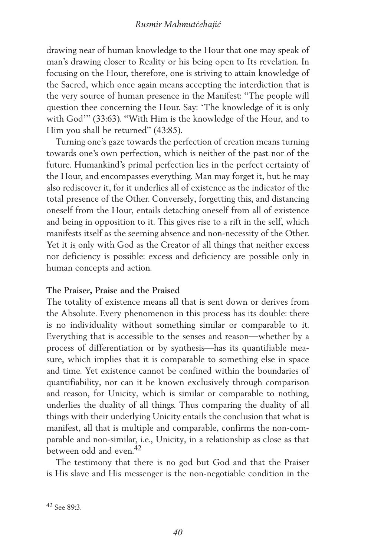drawing near of human knowledge to the Hour that one may speak of man's drawing closer to Reality or his being open to Its revelation. In focusing on the Hour, therefore, one is striving to attain knowledge of the Sacred, which once again means accepting the interdiction that is the very source of human presence in the Manifest: "The people will question thee concerning the Hour. Say: 'The knowledge of it is only with God'" (33:63). "With Him is the knowledge of the Hour, and to Him you shall be returned" (43:85).

Turning one's gaze towards the perfection of creation means turning towards one's own perfection, which is neither of the past nor of the future. Humankind's primal perfection lies in the perfect certainty of the Hour, and encompasses everything. Man may forget it, but he may also rediscover it, for it underlies all of existence as the indicator of the total presence of the Other. Conversely, forgetting this, and distancing oneself from the Hour, entails detaching oneself from all of existence and being in opposition to it. This gives rise to a rift in the self, which manifests itself as the seeming absence and non-necessity of the Other. Yet it is only with God as the Creator of all things that neither excess nor deficiency is possible: excess and deficiency are possible only in human concepts and action.

#### **The Praiser, Praise and the Praised**

The totality of existence means all that is sent down or derives from the Absolute. Every phenomenon in this process has its double: there is no individuality without something similar or comparable to it. Everything that is accessible to the senses and reason—whether by a process of differentiation or by synthesis—has its quantifiable measure, which implies that it is comparable to something else in space and time. Yet existence cannot be confined within the boundaries of quantifiability, nor can it be known exclusively through comparison and reason, for Unicity, which is similar or comparable to nothing, underlies the duality of all things. Thus comparing the duality of all things with their underlying Unicity entails the conclusion that what is manifest, all that is multiple and comparable, confirms the non-comparable and non-similar, i.e., Unicity, in a relationship as close as that between odd and even.<sup>42</sup>

The testimony that there is no god but God and that the Praiser is His slave and His messenger is the non-negotiable condition in the

42 See 89:3.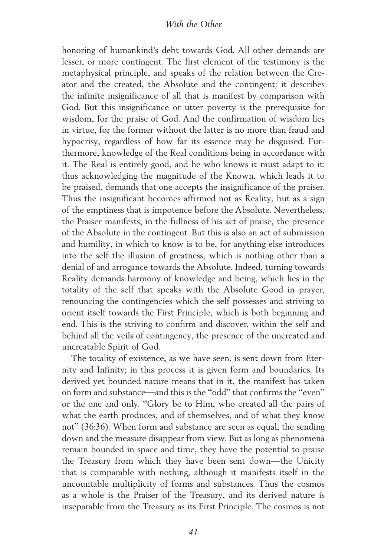honoring of humankind's debt towards God. All other demands are lesser, or more contingent. The first element of the testimony is the metaphysical principle, and speaks of the relation between the Creator and the created, the Absolute and the contingent; it describes the infinite insignificance of all that is manifest by comparison with God. But this insignificance or utter poverty is the prerequisite for wisdom, for the praise of God. And the confirmation of wisdom lies in virtue, for the former without the latter is no more than fraud and hypocrisy, regardless of how far its essence may be disguised. Furthermore, knowledge of the Real conditions being in accordance with it. The Real is entirely good, and he who knows it must adapt to it: thus acknowledging the magnitude of the Known, which leads it to be praised, demands that one accepts the insignificance of the praiser. Thus the insignificant becomes affirmed not as Reality, but as a sign of the emptiness that is impotence before the Absolute. Nevertheless, the Praiser manifests, in the fullness of his act of praise, the presence of the Absolute in the contingent. But this is also an act of submission and humility, in which to know is to be, for anything else introduces into the self the illusion of greatness, which is nothing other than a denial of and arrogance towards the Absolute. Indeed, turning towards Reality demands harmony of knowledge and being, which lies in the totality of the self that speaks with the Absolute Good in prayer, renouncing the contingencies which the self possesses and striving to orient itself towards the First Principle, which is both beginning and end. This is the striving to confirm and discover, within the self and behind all the veils of contingency, the presence of the uncreated and uncreatable Spirit of God.

The totality of existence, as we have seen, is sent down from Eternity and Infinity; in this process it is given form and boundaries. Its derived yet bounded nature means that in it, the manifest has taken on form and substance—and this is the "odd" that confirms the "even" or the one and only. "Glory be to Him, who created all the pairs of what the earth produces, and of themselves, and of what they know not" (36:36). When form and substance are seen as equal, the sending down and the measure disappear from view. But as long as phenomena remain bounded in space and time, they have the potential to praise the Treasury from which they have been sent down—the Unicity that is comparable with nothing, although it manifests itself in the uncountable multiplicity of forms and substances. Thus the cosmos as a whole is the Praiser of the Treasury, and its derived nature is inseparable from the Treasury as its First Principle. The cosmos is not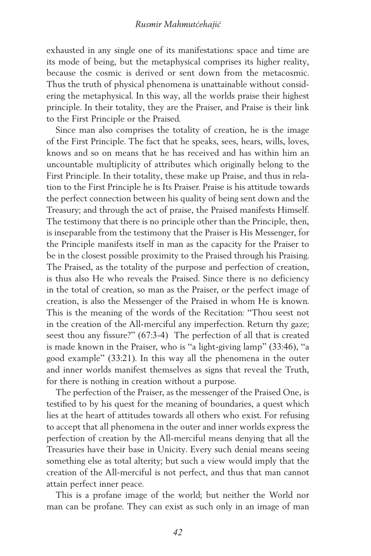exhausted in any single one of its manifestations: space and time are its mode of being, but the metaphysical comprises its higher reality, because the cosmic is derived or sent down from the metacosmic. Thus the truth of physical phenomena is unattainable without considering the metaphysical. In this way, all the worlds praise their highest principle. In their totality, they are the Praiser, and Praise is their link to the First Principle or the Praised.

Since man also comprises the totality of creation, he is the image of the First Principle. The fact that he speaks, sees, hears, wills, loves, knows and so on means that he has received and has within him an uncountable multiplicity of attributes which originally belong to the First Principle. In their totality, these make up Praise, and thus in relation to the First Principle he is Its Praiser. Praise is his attitude towards the perfect connection between his quality of being sent down and the Treasury; and through the act of praise, the Praised manifests Himself. The testimony that there is no principle other than the Principle, then, is inseparable from the testimony that the Praiser is His Messenger, for the Principle manifests itself in man as the capacity for the Praiser to be in the closest possible proximity to the Praised through his Praising. The Praised, as the totality of the purpose and perfection of creation, is thus also He who reveals the Praised. Since there is no deficiency in the total of creation, so man as the Praiser, or the perfect image of creation, is also the Messenger of the Praised in whom He is known. This is the meaning of the words of the Recitation: "Thou seest not in the creation of the All-merciful any imperfection. Return thy gaze; seest thou any fissure?" (67:3-4) The perfection of all that is created is made known in the Praiser, who is "a light-giving lamp" (33:46), "a good example" (33:21). In this way all the phenomena in the outer and inner worlds manifest themselves as signs that reveal the Truth, for there is nothing in creation without a purpose.

The perfection of the Praiser, as the messenger of the Praised One, is testified to by his quest for the meaning of boundaries, a quest which lies at the heart of attitudes towards all others who exist. For refusing to accept that all phenomena in the outer and inner worlds express the perfection of creation by the All-merciful means denying that all the Treasuries have their base in Unicity. Every such denial means seeing something else as total alterity; but such a view would imply that the creation of the All-merciful is not perfect, and thus that man cannot attain perfect inner peace.

This is a profane image of the world; but neither the World nor man can be profane. They can exist as such only in an image of man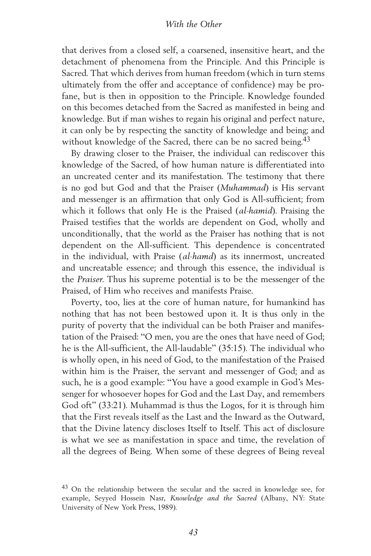that derives from a closed self, a coarsened, insensitive heart, and the detachment of phenomena from the Principle. And this Principle is Sacred. That which derives from human freedom (which in turn stems ultimately from the offer and acceptance of confidence) may be profane, but is then in opposition to the Principle. Knowledge founded on this becomes detached from the Sacred as manifested in being and knowledge. But if man wishes to regain his original and perfect nature, it can only be by respecting the sanctity of knowledge and being; and without knowledge of the Sacred, there can be no sacred being.<sup>43</sup>

By drawing closer to the Praiser, the individual can rediscover this knowledge of the Sacred, of how human nature is differentiated into an uncreated center and its manifestation. The testimony that there is no god but God and that the Praiser (*Muhammad*) is His servant and messenger is an affirmation that only God is All-sufficient; from which it follows that only He is the Praised (*al-hamid*). Praising the Praised testifies that the worlds are dependent on God, wholly and unconditionally, that the world as the Praiser has nothing that is not dependent on the All-sufficient. This dependence is concentrated in the individual, with Praise (*al-hamd*) as its innermost, uncreated and uncreatable essence; and through this essence, the individual is the *Praiser*. Thus his supreme potential is to be the messenger of the Praised, of Him who receives and manifests Praise.

Poverty, too, lies at the core of human nature, for humankind has nothing that has not been bestowed upon it. It is thus only in the purity of poverty that the individual can be both Praiser and manifestation of the Praised: "O men, you are the ones that have need of God; he is the All-sufficient, the All-laudable" (35:15). The individual who is wholly open, in his need of God, to the manifestation of the Praised within him is the Praiser, the servant and messenger of God; and as such, he is a good example: "You have a good example in God's Messenger for whosoever hopes for God and the Last Day, and remembers God oft" (33:21). Muhammad is thus the Logos, for it is through him that the First reveals itself as the Last and the Inward as the Outward, that the Divine latency discloses Itself to Itself. This act of disclosure is what we see as manifestation in space and time, the revelation of all the degrees of Being. When some of these degrees of Being reveal

<sup>&</sup>lt;sup>43</sup> On the relationship between the secular and the sacred in knowledge see, for example, Seyyed Hossein Nasr, *Knowledge and the Sacred* (Albany, NY: State University of New York Press, 1989).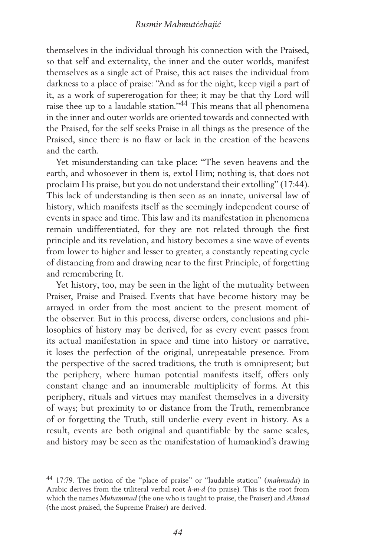themselves in the individual through his connection with the Praised, so that self and externality, the inner and the outer worlds, manifest themselves as a single act of Praise, this act raises the individual from darkness to a place of praise: "And as for the night, keep vigil a part of it, as a work of supererogation for thee; it may be that thy Lord will raise thee up to a laudable station."<sup>44</sup> This means that all phenomena in the inner and outer worlds are oriented towards and connected with the Praised, for the self seeks Praise in all things as the presence of the Praised, since there is no flaw or lack in the creation of the heavens and the earth.

Yet misunderstanding can take place: "The seven heavens and the earth, and whosoever in them is, extol Him; nothing is, that does not proclaim His praise, but you do not understand their extolling" (17:44). This lack of understanding is then seen as an innate, universal law of history, which manifests itself as the seemingly independent course of events in space and time. This law and its manifestation in phenomena remain undifferentiated, for they are not related through the first principle and its revelation, and history becomes a sine wave of events from lower to higher and lesser to greater, a constantly repeating cycle of distancing from and drawing near to the first Principle, of forgetting and remembering It.

Yet history, too, may be seen in the light of the mutuality between Praiser, Praise and Praised. Events that have become history may be arrayed in order from the most ancient to the present moment of the observer. But in this process, diverse orders, conclusions and philosophies of history may be derived, for as every event passes from its actual manifestation in space and time into history or narrative, it loses the perfection of the original, unrepeatable presence. From the perspective of the sacred traditions, the truth is omnipresent; but the periphery, where human potential manifests itself, offers only constant change and an innumerable multiplicity of forms. At this periphery, rituals and virtues may manifest themselves in a diversity of ways; but proximity to or distance from the Truth, remembrance of or forgetting the Truth, still underlie every event in history. As a result, events are both original and quantifiable by the same scales, and history may be seen as the manifestation of humankind's drawing

<sup>44 17:79.</sup> The notion of the "place of praise" or "laudable station" (*mahmuda*) in Arabic derives from the triliteral verbal root *h-m-d* (to praise). This is the root from which the names *Muhammad* (the one who is taught to praise, the Praiser) and *Ahmad*  (the most praised, the Supreme Praiser) are derived.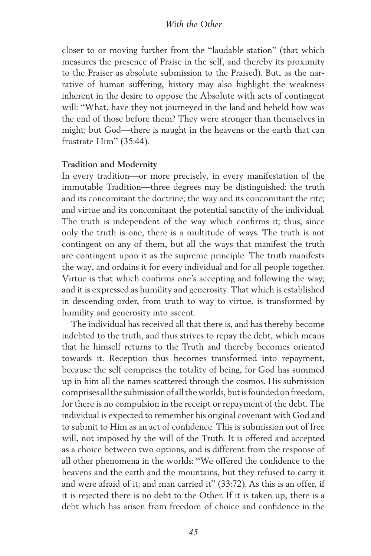closer to or moving further from the "laudable station" (that which measures the presence of Praise in the self, and thereby its proximity to the Praiser as absolute submission to the Praised). But, as the narrative of human suffering, history may also highlight the weakness inherent in the desire to oppose the Absolute with acts of contingent will: "What, have they not journeyed in the land and beheld how was the end of those before them? They were stronger than themselves in might; but God—there is naught in the heavens or the earth that can frustrate Him" (35:44).

#### **Tradition and Modernity**

In every tradition—or more precisely, in every manifestation of the immutable Tradition—three degrees may be distinguished: the truth and its concomitant the doctrine; the way and its concomitant the rite; and virtue and its concomitant the potential sanctity of the individual. The truth is independent of the way which confirms it; thus, since only the truth is one, there is a multitude of ways. The truth is not contingent on any of them, but all the ways that manifest the truth are contingent upon it as the supreme principle. The truth manifests the way, and ordains it for every individual and for all people together. Virtue is that which confirms one's accepting and following the way; and it is expressed as humility and generosity. That which is established in descending order, from truth to way to virtue, is transformed by humility and generosity into ascent.

The individual has received all that there is, and has thereby become indebted to the truth, and thus strives to repay the debt, which means that he himself returns to the Truth and thereby becomes oriented towards it. Reception thus becomes transformed into repayment, because the self comprises the totality of being, for God has summed up in him all the names scattered through the cosmos. His submission comprises all the submission of all the worlds, but is founded on freedom, for there is no compulsion in the receipt or repayment of the debt. The individual is expected to remember his original covenant with God and to submit to Him as an act of confidence. This is submission out of free will, not imposed by the will of the Truth. It is offered and accepted as a choice between two options, and is different from the response of all other phenomena in the worlds: "We offered the confidence to the heavens and the earth and the mountains, but they refused to carry it and were afraid of it; and man carried it" (33:72). As this is an offer, if it is rejected there is no debt to the Other. If it is taken up, there is a debt which has arisen from freedom of choice and confidence in the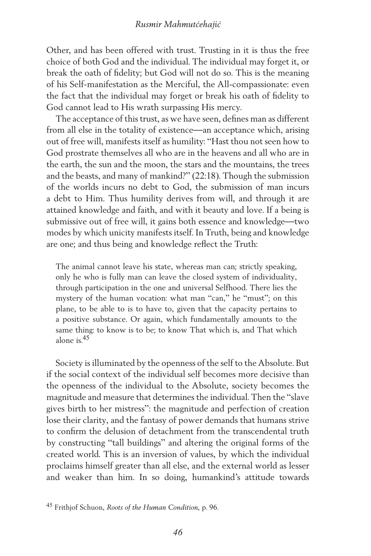Other, and has been offered with trust. Trusting in it is thus the free choice of both God and the individual. The individual may forget it, or break the oath of fidelity; but God will not do so. This is the meaning of his Self-manifestation as the Merciful, the All-compassionate: even the fact that the individual may forget or break his oath of fidelity to God cannot lead to His wrath surpassing His mercy.

The acceptance of this trust, as we have seen, defines man as different from all else in the totality of existence—an acceptance which, arising out of free will, manifests itself as humility: "Hast thou not seen how to God prostrate themselves all who are in the heavens and all who are in the earth, the sun and the moon, the stars and the mountains, the trees and the beasts, and many of mankind?" (22:18). Though the submission of the worlds incurs no debt to God, the submission of man incurs a debt to Him. Thus humility derives from will, and through it are attained knowledge and faith, and with it beauty and love. If a being is submissive out of free will, it gains both essence and knowledge—two modes by which unicity manifests itself. In Truth, being and knowledge are one; and thus being and knowledge reflect the Truth:

The animal cannot leave his state, whereas man can; strictly speaking, only he who is fully man can leave the closed system of individuality, through participation in the one and universal Selfhood. There lies the mystery of the human vocation: what man "can," he "must"; on this plane, to be able to is to have to, given that the capacity pertains to a positive substance. Or again, which fundamentally amounts to the same thing: to know is to be; to know That which is, and That which alone is.<sup>45</sup>

Society is illuminated by the openness of the self to the Absolute. But if the social context of the individual self becomes more decisive than the openness of the individual to the Absolute, society becomes the magnitude and measure that determines the individual. Then the "slave gives birth to her mistress": the magnitude and perfection of creation lose their clarity, and the fantasy of power demands that humans strive to confirm the delusion of detachment from the transcendental truth by constructing "tall buildings" and altering the original forms of the created world. This is an inversion of values, by which the individual proclaims himself greater than all else, and the external world as lesser and weaker than him. In so doing, humankind's attitude towards

<sup>45</sup> Frithjof Schuon, *Roots of the Human Condition*, p. 96.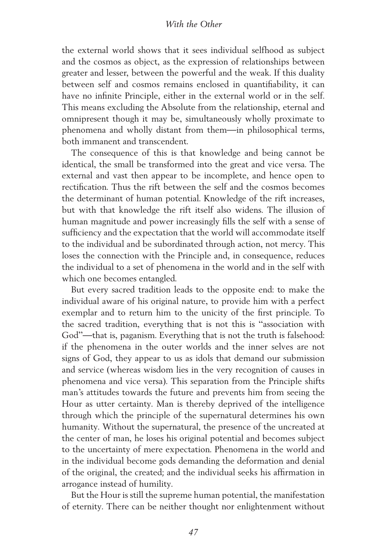the external world shows that it sees individual selfhood as subject and the cosmos as object, as the expression of relationships between greater and lesser, between the powerful and the weak. If this duality between self and cosmos remains enclosed in quantifiability, it can have no infinite Principle, either in the external world or in the self. This means excluding the Absolute from the relationship, eternal and omnipresent though it may be, simultaneously wholly proximate to phenomena and wholly distant from them—in philosophical terms, both immanent and transcendent.

The consequence of this is that knowledge and being cannot be identical, the small be transformed into the great and vice versa. The external and vast then appear to be incomplete, and hence open to rectification. Thus the rift between the self and the cosmos becomes the determinant of human potential. Knowledge of the rift increases, but with that knowledge the rift itself also widens. The illusion of human magnitude and power increasingly fills the self with a sense of sufficiency and the expectation that the world will accommodate itself to the individual and be subordinated through action, not mercy. This loses the connection with the Principle and, in consequence, reduces the individual to a set of phenomena in the world and in the self with which one becomes entangled.

But every sacred tradition leads to the opposite end: to make the individual aware of his original nature, to provide him with a perfect exemplar and to return him to the unicity of the first principle. To the sacred tradition, everything that is not this is "association with God"—that is, paganism. Everything that is not the truth is falsehood: if the phenomena in the outer worlds and the inner selves are not signs of God, they appear to us as idols that demand our submission and service (whereas wisdom lies in the very recognition of causes in phenomena and vice versa). This separation from the Principle shifts man's attitudes towards the future and prevents him from seeing the Hour as utter certainty. Man is thereby deprived of the intelligence through which the principle of the supernatural determines his own humanity. Without the supernatural, the presence of the uncreated at the center of man, he loses his original potential and becomes subject to the uncertainty of mere expectation. Phenomena in the world and in the individual become gods demanding the deformation and denial of the original, the created; and the individual seeks his affirmation in arrogance instead of humility.

But the Hour is still the supreme human potential, the manifestation of eternity. There can be neither thought nor enlightenment without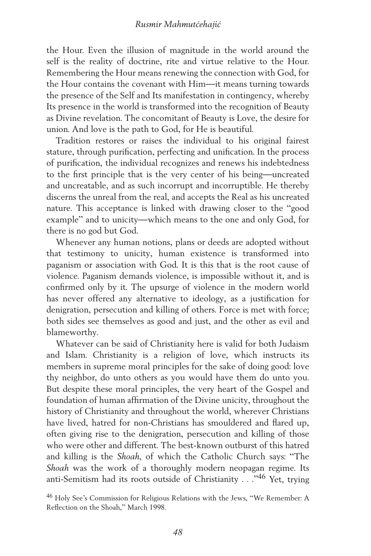the Hour. Even the illusion of magnitude in the world around the self is the reality of doctrine, rite and virtue relative to the Hour. Remembering the Hour means renewing the connection with God, for the Hour contains the covenant with Him—it means turning towards the presence of the Self and Its manifestation in contingency, whereby Its presence in the world is transformed into the recognition of Beauty as Divine revelation. The concomitant of Beauty is Love, the desire for union. And love is the path to God, for He is beautiful.

Tradition restores or raises the individual to his original fairest stature, through purification, perfecting and unification. In the process of purification, the individual recognizes and renews his indebtedness to the first principle that is the very center of his being—uncreated and uncreatable, and as such incorrupt and incorruptible. He thereby discerns the unreal from the real, and accepts the Real as his uncreated nature. This acceptance is linked with drawing closer to the "good example" and to unicity—which means to the one and only God, for there is no god but God.

Whenever any human notions, plans or deeds are adopted without that testimony to unicity, human existence is transformed into paganism or association with God. It is this that is the root cause of violence. Paganism demands violence, is impossible without it, and is confirmed only by it. The upsurge of violence in the modern world has never offered any alternative to ideology, as a justification for denigration, persecution and killing of others. Force is met with force; both sides see themselves as good and just, and the other as evil and blameworthy.

Whatever can be said of Christianity here is valid for both Judaism and Islam. Christianity is a religion of love, which instructs its members in supreme moral principles for the sake of doing good: love thy neighbor, do unto others as you would have them do unto you. But despite these moral principles, the very heart of the Gospel and foundation of human affirmation of the Divine unicity, throughout the history of Christianity and throughout the world, wherever Christians have lived, hatred for non-Christians has smouldered and flared up, often giving rise to the denigration, persecution and killing of those who were other and different. The best-known outburst of this hatred and killing is the *Shoah*, of which the Catholic Church says: "The *Shoah* was the work of a thoroughly modern neopagan regime. Its anti-Semitism had its roots outside of Christianity . . ."46 Yet, trying

<sup>46</sup> Holy See's Commission for Religious Relations with the Jews, "We Remember: A Reflection on the Shoah," March 1998.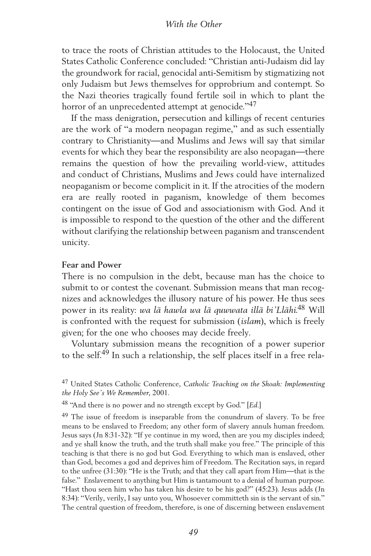to trace the roots of Christian attitudes to the Holocaust, the United States Catholic Conference concluded: "Christian anti-Judaism did lay the groundwork for racial, genocidal anti-Semitism by stigmatizing not only Judaism but Jews themselves for opprobrium and contempt. So the Nazi theories tragically found fertile soil in which to plant the horror of an unprecedented attempt at genocide."<sup>47</sup>

If the mass denigration, persecution and killings of recent centuries are the work of "a modern neopagan regime," and as such essentially contrary to Christianity—and Muslims and Jews will say that similar events for which they bear the responsibility are also neopagan—there remains the question of how the prevailing world-view, attitudes and conduct of Christians, Muslims and Jews could have internalized neopaganism or become complicit in it. If the atrocities of the modern era are really rooted in paganism, knowledge of them becomes contingent on the issue of God and associationism with God. And it is impossible to respond to the question of the other and the different without clarifying the relationship between paganism and transcendent unicity.

#### **Fear and Power**

There is no compulsion in the debt, because man has the choice to submit to or contest the covenant. Submission means that man recognizes and acknowledges the illusory nature of his power. He thus sees power in its reality: *wa lā hawla wa lā quwwata illā bi'Llāhi*. 48 Will is confronted with the request for submission (*islam*), which is freely given; for the one who chooses may decide freely.

Voluntary submission means the recognition of a power superior to the self.49 In such a relationship, the self places itself in a free rela-

48 "And there is no power and no strength except by God." [*Ed.*]

<sup>49</sup> The issue of freedom is inseparable from the conundrum of slavery. To be free means to be enslaved to Freedom; any other form of slavery annuls human freedom. Jesus says (Jn 8:31-32): "If ye continue in my word, then are you my disciples indeed; and ye shall know the truth, and the truth shall make you free." The principle of this teaching is that there is no god but God. Everything to which man is enslaved, other than God, becomes a god and deprives him of Freedom. The Recitation says, in regard to the unfree (31:30): "He is the Truth; and that they call apart from Him—that is the false." Enslavement to anything but Him is tantamount to a denial of human purpose. "Hast thou seen him who has taken his desire to be his god?" (45:23). Jesus adds (Jn 8:34): "Verily, verily, I say unto you, Whosoever committeth sin is the servant of sin." The central question of freedom, therefore, is one of discerning between enslavement

<sup>47</sup> United States Catholic Conference, *Catholic Teaching on the Shoah: Implementing the Holy See's We Remember*, 2001.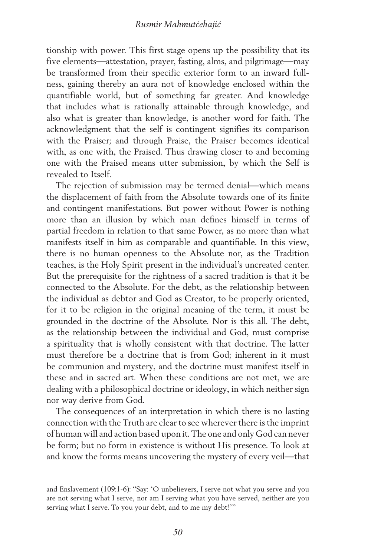tionship with power. This first stage opens up the possibility that its five elements—attestation, prayer, fasting, alms, and pilgrimage—may be transformed from their specific exterior form to an inward fullness, gaining thereby an aura not of knowledge enclosed within the quantifiable world, but of something far greater. And knowledge that includes what is rationally attainable through knowledge, and also what is greater than knowledge, is another word for faith. The acknowledgment that the self is contingent signifies its comparison with the Praiser; and through Praise, the Praiser becomes identical with, as one with, the Praised. Thus drawing closer to and becoming one with the Praised means utter submission, by which the Self is revealed to Itself.

The rejection of submission may be termed denial—which means the displacement of faith from the Absolute towards one of its finite and contingent manifestations. But power without Power is nothing more than an illusion by which man defines himself in terms of partial freedom in relation to that same Power, as no more than what manifests itself in him as comparable and quantifiable. In this view, there is no human openness to the Absolute nor, as the Tradition teaches, is the Holy Spirit present in the individual's uncreated center. But the prerequisite for the rightness of a sacred tradition is that it be connected to the Absolute. For the debt, as the relationship between the individual as debtor and God as Creator, to be properly oriented, for it to be religion in the original meaning of the term, it must be grounded in the doctrine of the Absolute. Nor is this all. The debt, as the relationship between the individual and God, must comprise a spirituality that is wholly consistent with that doctrine. The latter must therefore be a doctrine that is from God; inherent in it must be communion and mystery, and the doctrine must manifest itself in these and in sacred art. When these conditions are not met, we are dealing with a philosophical doctrine or ideology, in which neither sign nor way derive from God.

The consequences of an interpretation in which there is no lasting connection with the Truth are clear to see wherever there is the imprint of human will and action based upon it. The one and only God can never be form; but no form in existence is without His presence. To look at and know the forms means uncovering the mystery of every veil—that

and Enslavement (109:1-6): "Say: 'O unbelievers, I serve not what you serve and you are not serving what I serve, nor am I serving what you have served, neither are you serving what I serve. To you your debt, and to me my debt!'"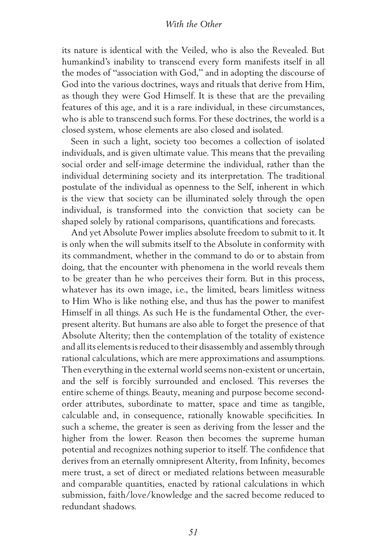its nature is identical with the Veiled, who is also the Revealed. But humankind's inability to transcend every form manifests itself in all the modes of "association with God," and in adopting the discourse of God into the various doctrines, ways and rituals that derive from Him, as though they were God Himself. It is these that are the prevailing features of this age, and it is a rare individual, in these circumstances, who is able to transcend such forms. For these doctrines, the world is a closed system, whose elements are also closed and isolated.

Seen in such a light, society too becomes a collection of isolated individuals, and is given ultimate value. This means that the prevailing social order and self-image determine the individual, rather than the individual determining society and its interpretation. The traditional postulate of the individual as openness to the Self, inherent in which is the view that society can be illuminated solely through the open individual, is transformed into the conviction that society can be shaped solely by rational comparisons, quantifications and forecasts.

And yet Absolute Power implies absolute freedom to submit to it. It is only when the will submits itself to the Absolute in conformity with its commandment, whether in the command to do or to abstain from doing, that the encounter with phenomena in the world reveals them to be greater than he who perceives their form. But in this process, whatever has its own image, i.e., the limited, bears limitless witness to Him Who is like nothing else, and thus has the power to manifest Himself in all things. As such He is the fundamental Other, the everpresent alterity. But humans are also able to forget the presence of that Absolute Alterity; then the contemplation of the totality of existence and all its elements is reduced to their disassembly and assembly through rational calculations, which are mere approximations and assumptions. Then everything in the external world seems non-existent or uncertain, and the self is forcibly surrounded and enclosed. This reverses the entire scheme of things. Beauty, meaning and purpose become secondorder attributes, subordinate to matter, space and time as tangible, calculable and, in consequence, rationally knowable specificities. In such a scheme, the greater is seen as deriving from the lesser and the higher from the lower. Reason then becomes the supreme human potential and recognizes nothing superior to itself. The confidence that derives from an eternally omnipresent Alterity, from Infinity, becomes mere trust, a set of direct or mediated relations between measurable and comparable quantities, enacted by rational calculations in which submission, faith/love/knowledge and the sacred become reduced to redundant shadows.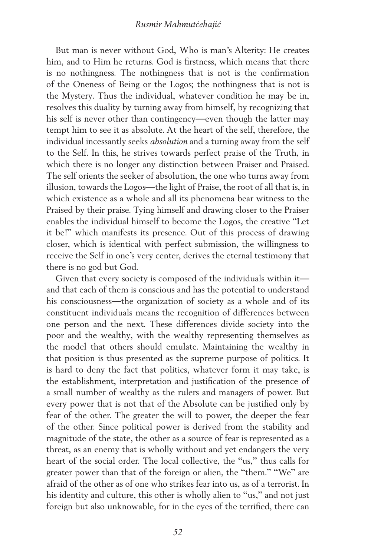But man is never without God, Who is man's Alterity: He creates him, and to Him he returns. God is firstness, which means that there is no nothingness. The nothingness that is not is the confirmation of the Oneness of Being or the Logos; the nothingness that is not is the Mystery. Thus the individual, whatever condition he may be in, resolves this duality by turning away from himself, by recognizing that his self is never other than contingency—even though the latter may tempt him to see it as absolute. At the heart of the self, therefore, the individual incessantly seeks *absolution* and a turning away from the self to the Self. In this, he strives towards perfect praise of the Truth, in which there is no longer any distinction between Praiser and Praised. The self orients the seeker of absolution, the one who turns away from illusion, towards the Logos—the light of Praise, the root of all that is, in which existence as a whole and all its phenomena bear witness to the Praised by their praise. Tying himself and drawing closer to the Praiser enables the individual himself to become the Logos, the creative "Let it be!" which manifests its presence. Out of this process of drawing closer, which is identical with perfect submission, the willingness to receive the Self in one's very center, derives the eternal testimony that there is no god but God.

Given that every society is composed of the individuals within it and that each of them is conscious and has the potential to understand his consciousness—the organization of society as a whole and of its constituent individuals means the recognition of differences between one person and the next. These differences divide society into the poor and the wealthy, with the wealthy representing themselves as the model that others should emulate. Maintaining the wealthy in that position is thus presented as the supreme purpose of politics. It is hard to deny the fact that politics, whatever form it may take, is the establishment, interpretation and justification of the presence of a small number of wealthy as the rulers and managers of power. But every power that is not that of the Absolute can be justified only by fear of the other. The greater the will to power, the deeper the fear of the other. Since political power is derived from the stability and magnitude of the state, the other as a source of fear is represented as a threat, as an enemy that is wholly without and yet endangers the very heart of the social order. The local collective, the "us," thus calls for greater power than that of the foreign or alien, the "them." "We" are afraid of the other as of one who strikes fear into us, as of a terrorist. In his identity and culture, this other is wholly alien to "us," and not just foreign but also unknowable, for in the eyes of the terrified, there can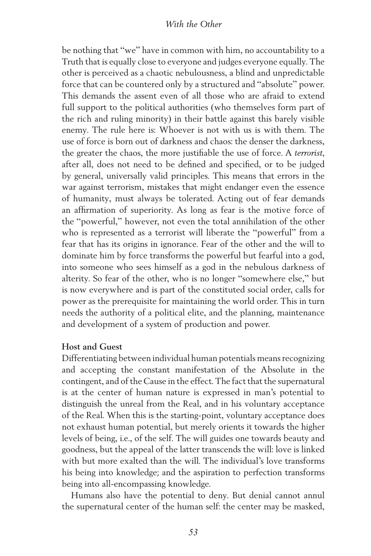be nothing that "we" have in common with him, no accountability to a Truth that is equally close to everyone and judges everyone equally. The other is perceived as a chaotic nebulousness, a blind and unpredictable force that can be countered only by a structured and "absolute" power. This demands the assent even of all those who are afraid to extend full support to the political authorities (who themselves form part of the rich and ruling minority) in their battle against this barely visible enemy. The rule here is: Whoever is not with us is with them. The use of force is born out of darkness and chaos: the denser the darkness, the greater the chaos, the more justifiable the use of force. A *terrorist*, after all, does not need to be defined and specified, or to be judged by general, universally valid principles. This means that errors in the war against terrorism, mistakes that might endanger even the essence of humanity, must always be tolerated. Acting out of fear demands an affirmation of superiority. As long as fear is the motive force of the "powerful," however, not even the total annihilation of the other who is represented as a terrorist will liberate the "powerful" from a fear that has its origins in ignorance. Fear of the other and the will to dominate him by force transforms the powerful but fearful into a god, into someone who sees himself as a god in the nebulous darkness of alterity. So fear of the other, who is no longer "somewhere else," but is now everywhere and is part of the constituted social order, calls for power as the prerequisite for maintaining the world order. This in turn needs the authority of a political elite, and the planning, maintenance and development of a system of production and power.

# **Host and Guest**

Differentiating between individual human potentials means recognizing and accepting the constant manifestation of the Absolute in the contingent, and of the Cause in the effect. The fact that the supernatural is at the center of human nature is expressed in man's potential to distinguish the unreal from the Real, and in his voluntary acceptance of the Real. When this is the starting-point, voluntary acceptance does not exhaust human potential, but merely orients it towards the higher levels of being, i.e., of the self. The will guides one towards beauty and goodness, but the appeal of the latter transcends the will: love is linked with but more exalted than the will. The individual's love transforms his being into knowledge; and the aspiration to perfection transforms being into all-encompassing knowledge.

Humans also have the potential to deny. But denial cannot annul the supernatural center of the human self: the center may be masked,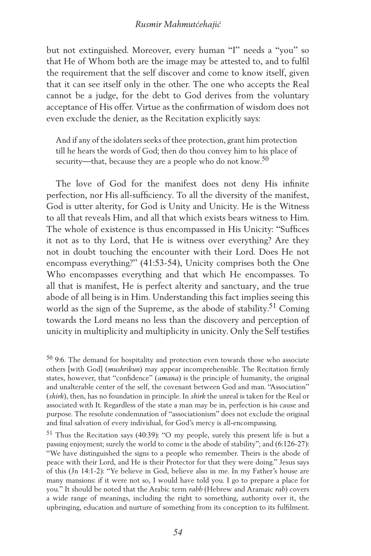#### *Rusmir Mahmutćehajić*

but not extinguished. Moreover, every human "I" needs a "you" so that He of Whom both are the image may be attested to, and to fulfil the requirement that the self discover and come to know itself, given that it can see itself only in the other. The one who accepts the Real cannot be a judge, for the debt to God derives from the voluntary acceptance of His offer. Virtue as the confirmation of wisdom does not even exclude the denier, as the Recitation explicitly says:

And if any of the idolaters seeks of thee protection, grant him protection till he hears the words of God; then do thou convey him to his place of security—that, because they are a people who do not know.<sup>50</sup>

The love of God for the manifest does not deny His infinite perfection, nor His all-sufficiency. To all the diversity of the manifest, God is utter alterity, for God is Unity and Unicity. He is the Witness to all that reveals Him, and all that which exists bears witness to Him. The whole of existence is thus encompassed in His Unicity: "Suffices it not as to thy Lord, that He is witness over everything? Are they not in doubt touching the encounter with their Lord. Does He not encompass everything?" (41:53-54), Unicity comprises both the One Who encompasses everything and that which He encompasses. To all that is manifest, He is perfect alterity and sanctuary, and the true abode of all being is in Him. Understanding this fact implies seeing this world as the sign of the Supreme, as the abode of stability.<sup>51</sup> Coming towards the Lord means no less than the discovery and perception of unicity in multiplicity and multiplicity in unicity. Only the Self testifies

51 Thus the Recitation says (40:39): "O my people, surely this present life is but a passing enjoyment; surely the world to come is the abode of stability"; and (6:126-27): "We have distinguished the signs to a people who remember. Theirs is the abode of peace with their Lord, and He is their Protector for that they were doing." Jesus says of this (Jn 14:1-2): "Ye believe in God, believe also in me. In my Father's house are many mansions: if it were not so, I would have told you. I go to prepare a place for you." It should be noted that the Arabic term *rabb* (Hebrew and Aramaic *rab*) covers a wide range of meanings, including the right to something, authority over it, the upbringing, education and nurture of something from its conception to its fulfilment.

<sup>50 9:6.</sup> The demand for hospitality and protection even towards those who associate others [with God] (*mushrikun*) may appear incomprehensible. The Recitation firmly states, however, that "confidence" (*amana*) is the principle of humanity, the original and unalterable center of the self, the covenant between God and man. "Association" (*shirk*), then, has no foundation in principle. In *shirk* the unreal is taken for the Real or associated with It. Regardless of the state a man may be in, perfection is his cause and purpose. The resolute condemnation of "associationism" does not exclude the original and final salvation of every individual, for God's mercy is all-encompassing.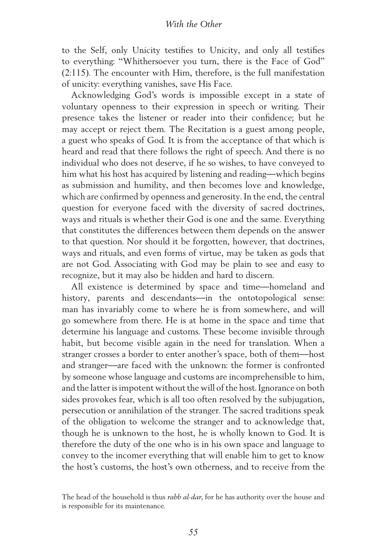to the Self, only Unicity testifies to Unicity, and only all testifies to everything: "Whithersoever you turn, there is the Face of God" (2:115). The encounter with Him, therefore, is the full manifestation of unicity: everything vanishes, save His Face.

Acknowledging God's words is impossible except in a state of voluntary openness to their expression in speech or writing. Their presence takes the listener or reader into their confidence; but he may accept or reject them. The Recitation is a guest among people, a guest who speaks of God. It is from the acceptance of that which is heard and read that there follows the right of speech. And there is no individual who does not deserve, if he so wishes, to have conveyed to him what his host has acquired by listening and reading—which begins as submission and humility, and then becomes love and knowledge, which are confirmed by openness and generosity. In the end, the central question for everyone faced with the diversity of sacred doctrines, ways and rituals is whether their God is one and the same. Everything that constitutes the differences between them depends on the answer to that question. Nor should it be forgotten, however, that doctrines, ways and rituals, and even forms of virtue, may be taken as gods that are not God. Associating with God may be plain to see and easy to recognize, but it may also be hidden and hard to discern.

All existence is determined by space and time—homeland and history, parents and descendants—in the ontotopological sense: man has invariably come to where he is from somewhere, and will go somewhere from there. He is at home in the space and time that determine his language and customs. These become invisible through habit, but become visible again in the need for translation. When a stranger crosses a border to enter another's space, both of them—host and stranger—are faced with the unknown: the former is confronted by someone whose language and customs are incomprehensible to him, and the latter is impotent without the will of the host. Ignorance on both sides provokes fear, which is all too often resolved by the subjugation, persecution or annihilation of the stranger. The sacred traditions speak of the obligation to welcome the stranger and to acknowledge that, though he is unknown to the host, he is wholly known to God. It is therefore the duty of the one who is in his own space and language to convey to the incomer everything that will enable him to get to know the host's customs, the host's own otherness, and to receive from the

The head of the household is thus *rabb al-dar*, for he has authority over the house and is responsible for its maintenance.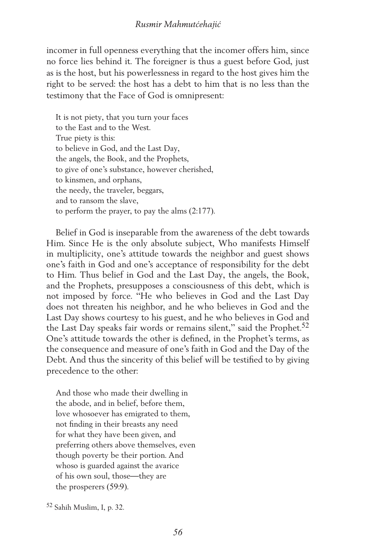incomer in full openness everything that the incomer offers him, since no force lies behind it. The foreigner is thus a guest before God, just as is the host, but his powerlessness in regard to the host gives him the right to be served: the host has a debt to him that is no less than the testimony that the Face of God is omnipresent:

It is not piety, that you turn your faces to the East and to the West. True piety is this: to believe in God, and the Last Day, the angels, the Book, and the Prophets, to give of one's substance, however cherished, to kinsmen, and orphans, the needy, the traveler, beggars, and to ransom the slave, to perform the prayer, to pay the alms (2:177).

Belief in God is inseparable from the awareness of the debt towards Him. Since He is the only absolute subject, Who manifests Himself in multiplicity, one's attitude towards the neighbor and guest shows one's faith in God and one's acceptance of responsibility for the debt to Him. Thus belief in God and the Last Day, the angels, the Book, and the Prophets, presupposes a consciousness of this debt, which is not imposed by force. "He who believes in God and the Last Day does not threaten his neighbor, and he who believes in God and the Last Day shows courtesy to his guest, and he who believes in God and the Last Day speaks fair words or remains silent," said the Prophet. $52$ One's attitude towards the other is defined, in the Prophet's terms, as the consequence and measure of one's faith in God and the Day of the Debt. And thus the sincerity of this belief will be testified to by giving precedence to the other:

And those who made their dwelling in the abode, and in belief, before them, love whosoever has emigrated to them, not finding in their breasts any need for what they have been given, and preferring others above themselves, even though poverty be their portion. And whoso is guarded against the avarice of his own soul, those—they are the prosperers (59:9).

52 Sahih Muslim, I, p. 32.